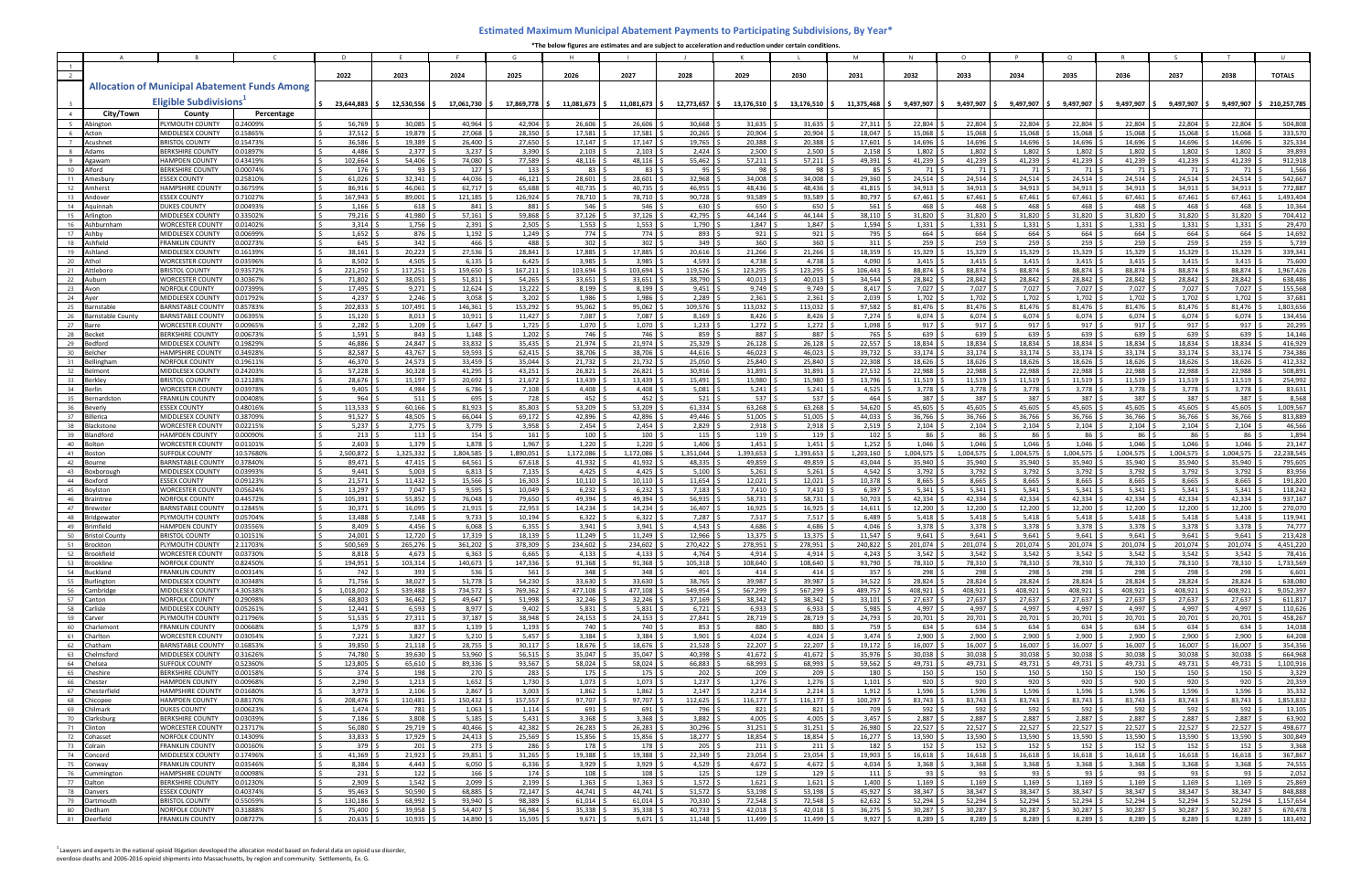|  | *The below figures are estimates and are subject to acceleration and reduction under certain conditions. |
|--|----------------------------------------------------------------------------------------------------------|
|--|----------------------------------------------------------------------------------------------------------|

|                 |                                    |                                                   |                                                      |                      |                              |                     | G                   |                              |                           |                                | K.                             |                              | M                   | N.                           | $\Omega$                   |                                             | $\Omega$                      |                               |                             |                     |                         |
|-----------------|------------------------------------|---------------------------------------------------|------------------------------------------------------|----------------------|------------------------------|---------------------|---------------------|------------------------------|---------------------------|--------------------------------|--------------------------------|------------------------------|---------------------|------------------------------|----------------------------|---------------------------------------------|-------------------------------|-------------------------------|-----------------------------|---------------------|-------------------------|
|                 |                                    |                                                   |                                                      |                      |                              |                     |                     |                              |                           |                                |                                |                              |                     |                              |                            |                                             |                               |                               |                             |                     |                         |
| $\overline{2}$  |                                    |                                                   |                                                      | 2022                 | 2023                         | 2024                | 2025                | 2026                         | 2027                      | 2028                           | 2029                           | 2030                         | 2031                | 2032                         | 2033                       | 2034                                        | 2035                          | 2036                          | 2037                        | 2038                | <b>TOTALS</b>           |
|                 |                                    |                                                   | <b>Allocation of Municipal Abatement Funds Among</b> |                      |                              |                     |                     |                              |                           |                                |                                |                              |                     |                              |                            |                                             |                               |                               |                             |                     |                         |
|                 |                                    |                                                   |                                                      |                      |                              |                     |                     |                              |                           |                                |                                |                              |                     |                              |                            |                                             |                               |                               |                             |                     |                         |
|                 |                                    | Eligible Subdivisions <sup>1</sup>                |                                                      | 23,644,883 \$        | 12,530,556 \$                | 17,061,730          | 17,869,778 \$       | 11,081,673 \$                | $11,081,673$ \$           | 12,773,657 \$                  | $13,176,510$ \$                | 13,176,510 \$                | 11,375,468 \$       | 9,497,907 \$                 |                            | $9,497,907$ $\mid \xi$ 9,497,907 $\mid \xi$ | 9,497,907 \$                  | 9,497,907 \$                  | 9,497,907 \$                |                     | 9,497,907 \$210,257,785 |
|                 | City/Town                          | County                                            | Percentage                                           |                      |                              |                     |                     |                              |                           |                                |                                |                              |                     |                              |                            |                                             |                               |                               |                             |                     |                         |
| 5 <sup>5</sup>  | Abington                           | PLYMOUTH COUNTY                                   | 0.24009%                                             | 56.769               | 30.085                       | 40.964              | 42.904              | 26.606                       | 26.606                    | 30.668                         | 31,635                         | 31.635                       | 27.311              | 22,804                       | 22.804                     | 22.804                                      | 22.804                        | 22.804                        | 22.804                      | 22.804              | 504,808                 |
| $6\overline{6}$ | Acton<br>Acushnet                  | MIDDLESEX COUNTY<br><b>BRISTOL COUNTY</b>         | 0.15865%<br>0.15473%                                 | 37,512<br>36,586     | 19,879<br>19,389 \$          | 27,068<br>26,400    | 28,350<br>27,650    | 17,581<br>17,147             | 17,581<br>17,147          | 20,265<br>19,765               | 20,904<br>20,388               | 20,904<br>20,388             | 18,047<br>17,601    | 15,068<br>14,696             | 15,068<br>14,696           | 15,068<br>14,696                            | 15,068<br>14,696              | 15,068<br>14,696              | 15,068<br>14,696            | 15,068<br>14,696    | 333,570<br>325,334      |
| $\mathbf{R}$    | Adams                              | <b>BERKSHIRE COUNTY</b>                           | 0.01897%                                             | 4,486                | 2,377                        | 3,237               | 3,390               | 2,103                        | 2,103                     | 2,424                          | 2,500                          | 2,500                        | 2,158               | 1,802                        | 1,802                      | 1,802                                       | 1,802                         | 1,802                         | 1,802                       | 1,802               | 39,893                  |
|                 | Agawan                             | <b>HAMPDEN COUNTY</b>                             | 0.43419%                                             | 102,664              | 54,406                       | 74.080              | 77.589              | 48,116                       | 48,116                    | 55,462                         | 57,211                         | 57,211                       | 49,391              | 41,239                       | 41.239                     | 41,239                                      | 41,239                        | 41,239                        | 41,239                      | 41,239              | 912,918                 |
| 10              | Alford                             | <b>BERKSHIRE COUNT</b>                            | 0.00074%                                             | 176                  | 93                           | 127                 | 133                 | 83                           | 83                        | $95 \quad$                     | 98                             | 98                           | 85                  | 71                           | 71                         | 71                                          | 71                            | 71 S                          | 71                          | 71                  | 1,566                   |
| 11              | Amesbury                           | <b>ESSEX COUNTY</b>                               | 0.25810%                                             | 61,026               | 32,341                       | 44,036              | 46,121              | 28,601                       | 28,601                    | 32,968                         | 34,008                         | 34,008                       | 29,360              | 24,514                       | 24,514                     | 24,514                                      | 24,514                        | 24,514                        | 24,514                      | 24,514              | 542,667                 |
| 12              | Amherst                            | <b>HAMPSHIRE COUNTY</b>                           | 0.36759%                                             | 86,916               | $46,061$ \$                  | 62,717              | 65.688              | 40,735                       | 40,735                    | 46,955                         | 48.436                         | 48,436                       | 41,815              | 34,913                       | 34,913                     | 34,913                                      | 34,913                        | 34,913                        | 34,913                      | 34,913              | 772,887                 |
| 13              | Andover                            | <b>ESSEX COUNTY</b>                               | 0.71027%                                             | 167,943              | 89,001 \$                    | 121,185             | 126,924             | 78,710                       | 78,710                    | 90,728                         | 93,589                         | 93,589                       | 80,797              | 67,461                       | 67,461                     | 67,461                                      | 67,461                        | $67,461$ :                    | 67,461                      | 67,461              | 1,493,404               |
| 14              | Aauinnah                           | <b>DUKES COUNTY</b>                               | 0.00493%                                             | 1,166                | 618 \$                       | 841                 | 881                 | 546                          | 546 <sup>5</sup>          | $630 \frac{1}{2}$              | 650                            | 650                          | 561                 | 468                          | 468                        | 468                                         | 468                           | 468 \$                        | 468                         | 468                 | 10,364                  |
| 15<br>16        | Arlington<br>Ashburnham            | MIDDLESEX COUNTY<br><b>WORCESTER COUNTY</b>       | 0.33502%<br>0.01402%                                 | 79,216<br>3,314      | 41,980<br>1,756 \$           | 57,161<br>2,391     | 59,868<br>2,505     | 37,126<br>1,553              | 37,126<br>1,553           | 42,795<br>1,790                | 44,144<br>1,847                | 44,144<br>1,847              | 38,110<br>1,594     | 31,820<br>1,331              | 31,820<br>1,331            | 31,820<br>1,331                             | 31,820<br>1,331               | 31,820 :<br>1,331             | 31,820<br>1,331             | 31,820<br>1,331     | 704,412<br>29,470       |
| 17              | Ashby                              | MIDDLESEX COUNTY                                  | 0.00699%                                             | 1,652                | 876                          | 1,192               | 1,249               | 774 \$                       | 774 \$                    | 893 \$                         | 921S                           | 921                          | 795                 | 664                          | 664                        | 664                                         | 664                           | 664 \$                        | 664                         | 664                 | 14,692                  |
| 18              | Ashfield                           | FRANKLIN COUNTY                                   | 0.00273%                                             | 645                  | $342 \frac{1}{2}$            | 466                 | 488                 | 302 <sub>5</sub>             | $302 \frac{3}{2}$         | 349:5                          | 360                            | 360                          | 311                 | 259                          | 259                        | 259                                         | 259                           | $259$ \$                      | 259                         | 259                 | 5,739                   |
| 19              | Ashland                            | MIDDLESEX COUNTY                                  | 0.16139%                                             | 38,161               | 20,223                       | 27,536              | 28.841              | 17,885                       | 17,885                    | 20,616                         | $21,266$ \$                    | 21,266 \$                    | 18,359              | 15,329                       | 15,329                     | 15,329                                      | 15,329                        | $15,329$ \$                   | 15,329                      | 15,329              | 339,341                 |
| 20              | Athol                              | <b>WORCESTER COUNTY</b>                           | 0.03596%                                             | 8,502                | 4,505                        | 6,135               | 6,425               | 3,985                        | 3,985                     | 4,593                          | 4,738                          | 4,738                        | 4,090               | 3,415                        | 3,415                      | 3,415                                       | 3,415                         | 3,415                         | 3,415                       | 3,415               | 75,600                  |
| 21              | Attleboro                          | <b>BRISTOL COUNTY</b>                             | 0.93572%                                             | 221,250              | $117,251$ \$                 | 159,650             | 167,211             | 103,694                      | 103,694                   | 119,526                        | 123,295                        | 123,295                      | 106,443             | 88,874                       | 88,874                     | 88,874                                      | 88,874                        | 88,874                        | 88,874                      | 88,874              | 1,967,426               |
| 22              | Auburr                             | <b>WORCESTER COUNTY</b>                           | 0.30367%                                             | 71,802               | 38,051 \$                    | 51,811              | 54,265              | 33,651                       | 33,651                    | 38,790                         | 40,013                         | 40,013                       | 34,544              | 28,842                       | 28,842                     | 28,842                                      | 28,842                        | 28,842                        | 28,842                      | 28,842              | 638,486                 |
| 23<br>24        | Avon<br>Aver                       | <b>NORFOLK COUNTY</b><br>MIDDLESEX COUNTY         | 0.07399%<br>0.01792%                                 | 17,495<br>4,237      | $9,271$ \;<br>2,246          | 12,624<br>3,058     | 13,222<br>3,202     | 8,199<br>1,986               | 8,199<br>1,986            | $9,451$ $\frac{3}{5}$<br>2,289 | 9,749<br>2,361                 | 9,749<br>2,361               | 8,417<br>2,039      | 7,027<br>1,702               | 7,027<br>1,702             | 7,027<br>1,702                              | 7,027<br>1,702                | $7,027$ :<br>1,702            | 7,027<br>1,702              | 7,027<br>1,702      | 155,568<br>37,681       |
| 25              | Barnstable                         | <b>BARNSTABLE COUNTY</b>                          | 0.85783%                                             | 202,833              | 107,491 \$                   | 146,361             | 153,292             | 95,062                       | 95,062                    | 109,576 \$                     | 113,032                        | 113,032                      | 97,582              | 81,476                       | 81,476                     | 81,476                                      | 81,476                        | 81,476 \$                     | 81,476                      | 81,476              | 1,803,656               |
| 26              | Barnstable County                  | <b>BARNSTABLE COUNTY</b>                          | 0.06395%                                             | 15,120               | 8,013                        | 10,911              | 11,427              | 7,087                        | 7,087                     | 8,169                          | 8,426                          | 8,426                        | 7,274               | 6,074                        | 6,074                      | 6,074                                       | 6,074                         | 6,074                         | 6,074                       | 6,074               | 134,456                 |
| 27              | Rarre                              | <b>WORCESTER COUNTY</b>                           | 0.00965%                                             | 2,282                | 1,209                        | 1,647               | 1,725               | 1,070                        | 1,070                     | 1,233                          | 1,272                          | 1,272                        | 1,098               | 917                          | 917                        | 917                                         | 917                           | 917                           | 917                         | 917                 | 20,295                  |
| 28              | Becket                             | <b>BERKSHIRE COUNTY</b>                           | 0.00673%                                             | 1,591                | $843 \frac{5}{7}$            | 1,148               | 1,202               | 746                          | 746                       | 859 \$                         | 887                            | 887                          | 765                 | 639                          | 639                        | 639                                         | 639                           | 639                           | 639                         | 639                 | 14,146                  |
| 29              | Bedford                            | MIDDLESEX COUNTY                                  | 0.19829%                                             | 46,886               | 24,847                       | 33,832              | 35,435              | 21,974                       | 21,974                    | 25,329                         | 26,128                         | 26,128                       | 22,557              | 18,834                       | 18,834                     | 18,834                                      | 18,834                        | 18,834                        | 18,834                      | 18,834              | 416,929                 |
| 30              | Belchei                            | <b>HAMPSHIRE COUNTY</b>                           | 0.34928%                                             | 82,587               | 43,767                       | 59,593              | 62,415              | 38,706                       | 38,706                    | 44,616                         | 46,023                         | 46,023                       | 39,732              | 33,174                       | 33,174                     | 33,174                                      | 33,174                        | 33,174                        | 33,174                      | 33,174              | 734,386                 |
| 31              | Bellingham                         | <b>NORFOLK COUNTY</b>                             | 0.19611%                                             | 46.370               | 24,573                       | 33.459              | 35.044              | 21,732                       | 21,732                    | 25,050                         | 25,840                         | 25.840                       | 22.308              | 18,626                       | 18,626                     | 18.626                                      | 18,626                        | 18,626                        | 18,626                      | 18,626              | 412,332                 |
| 32<br>33        | Belmont<br>Berklev                 | <b>MIDDLESEX COUNTY</b><br><b>BRISTOL COUNTY</b>  | 0.24203%<br>0.12128%                                 | 57,228<br>28,676     | 30,328<br>15,197             | 41,295<br>20,692    | 43,251<br>21,672    | 26,821<br>13,439             | 26,821<br>13,439          | 30,916<br>15,491               | 31,891<br>15,980               | 31,891<br>15,980             | 27,532<br>13,796    | 22,988<br>11,519             | 22,988<br>11,519           | 22,988<br>11,519                            | 22,988<br>11,519              | 22,988<br>11,519              | 22,988<br>11,519            | 22,988<br>11,519    | 508,891<br>254,992      |
| 34              | serlin                             | WORCESTER COUNTY                                  | 0.03978%                                             | 9,405                | 4,984                        | 6,786               | 7,108               | 4,408                        | 4,408                     | $5,081$ :                      | 5,241                          | 5,241                        | 4,525               | 3,778                        | 3,778                      | 3,778                                       | 3,778                         | 3,778                         | 3,778                       | 3,778               | 83,631                  |
| 35              | Bernardston                        | <b>FRANKLIN COUNTY</b>                            | 0.00408%                                             | 964                  | 511                          | 695                 | 728                 | 452                          | 452                       | $521 \,$ \$                    | 537                            | 537                          | 464                 | 387                          | 387                        | 387                                         | 387                           | 387 <sup>5</sup>              | 387                         | 387                 | 8,568                   |
| -36             |                                    | <b>ESSEX COUNTY</b>                               | 0.48016%                                             | 113,533              | 60,166 \$                    | 81,923              | 85,803              | 53,209                       | 53,209                    | 61,334                         | 63,268                         | 63,268                       | 54,620              | 45,605                       | 45,605                     | 45,605                                      | 45,605                        | 45,605 :                      | 45,605                      | 45,605              | 1,009,567               |
| 37              | <b>Sillerica</b>                   | <b>MIDDLESEX COUNTY</b>                           | 0.38709%                                             | 91,527               | 48,505                       | 66,044              | 69,172              | 42,896                       | 42,896                    | 49,446                         | 51,005                         | 51,005                       | 44,033              | 36,766                       | 36,766                     | 36,766                                      | 36,766                        | 36,766                        | 36,766                      | 36,766              | 813,889                 |
| 38              | Blackstone                         | <b>WORCESTER COUNT</b>                            | 0.02215%                                             | 5,237                | 2,775                        | 3,779               | 3,958               | 2,454                        | 2,454                     | 2,829                          | 2,918                          | 2,918                        | 2,519               | 2,104                        | 2,104                      | 2,104                                       | 2,104                         | 2,104                         | 2,104                       | 2,104               | 46,566                  |
| 39              | Blandford                          | <b>HAMPDEN COUNTY</b>                             | 0.00090%                                             | 213                  | $113 \quad$ \$               | 154                 | 161                 | 100 <sup>°</sup>             | $100 \,$ \$               | $115 \quad$ \$                 | 119                            | 119                          | 102                 | 86                           | 86 S                       | 86                                          | 86                            | 86 <sup>5</sup>               | 86                          | 86                  | 1,894                   |
| 40              | Bolton                             | <b>WORCESTER COUNTY</b>                           | 0.01101%                                             | 2,603                | 1,379                        | 1,878               | 1,967               | 1,220                        | 1,220                     | 1,406                          | 1,451                          | 1,451                        | 1,252               | 1,046                        | 1,046                      | 1,046                                       | 1,046                         | $1,046$ :                     | 1,046                       | 1,046               | 23,147                  |
| 41<br>42        | <b>Boston</b><br>Bourne            | <b>SUFFOLK COUNTY</b><br><b>BARNSTABLE COUNTY</b> | 10.57680%<br>0.37840%                                | 2,500,872<br>89,471  | 1,325,332<br>47,415          | 1.804.585<br>64,561 | 1,890,051<br>67,618 | 1,172,086<br>41,932          | 1,172,086<br>41,932       | 1,351,044<br>48,335            | 1,393,653<br>49,859            | ,393,653<br>49,859           | 1,203,160<br>43,044 | 1,004,575<br>35,940          | 1.004.575<br>35,940        | 1,004,575<br>35,940                         | 1.004.575<br>35,940           | 1,004,575<br>35,940           | 1,004,575<br>35,940         | 1,004,575<br>35,940 | 22,238,545<br>795,605   |
| 43              | Boxborough                         | MIDDLESEX COUNTY                                  | 0.03993%                                             | 9,441                | 5,003                        | 6,813               | 7,135               | 4,425                        | 4,425                     | $5,100$ \$                     | 5,261                          | 5,261                        | 4,542               | 3,792                        | 3,792                      | 3,792                                       | 3,792                         | 3,792                         | 3,792                       | 3,792               | 83,956                  |
| 44              | Boxford                            | <b>ESSEX COUNTY</b>                               | 0.09123%                                             | 21.571               | 11,432 \$                    | 15,566              | 16,303              | $10,110$ :                   | 10,110                    | 11,654                         | 12,021                         | $12,021$ :                   | 10,378              | 8,665                        | 8,665                      | 8,665                                       | 8,665                         | 8,665 :                       | 8,665                       | 8.665               | 191,820                 |
| 45              | <b>Soviston</b>                    | <b>WORCESTER COUNTY</b>                           | 0.05624%                                             | 13,297               | $7,047$ \$                   | 9,595               | 10,049              | 6,232                        | 6,232                     | 7,183                          | 7,410                          | 7,410                        | 6,397               | 5,341                        | 5,341                      | 5,341                                       | 5,341                         | $5,341$ $\leq$                | 5,341                       | 5,341               | 118,242                 |
| 46              | Braintree                          | NORFOLK COUNTY                                    | 0.44572%                                             | 105,391              | 55,852                       | 76,048              | 79,650              | 49,394                       | 49,394                    | $56,935$ \$                    | 58,731                         | 58,731                       | 50,703              | 42,334                       | 42,334                     | 42,334                                      | 42,334                        | $42,334$ \$                   | 42,334                      | 42,334              | 937,167                 |
| 47              | Brewster                           | <b>BARNSTABLE COUNTY</b>                          | 0.12845%                                             | 30,371               | 16,095                       | 21,915              | 22,953              | 14,234                       | 14,234                    | 16,407                         | 16,925                         | 16,925                       | 14,611              | 12,200                       | 12,200                     | 12,200                                      | 12,200                        | $12,200$ \$                   | 12,200                      | 12,200              | 270,070                 |
| 48              | Bridgewate                         | PLYMOUTH COUNTY                                   | 0.05704%                                             | 13,488               | 7.148                        | 9.733               | 10,194              | 6,322                        | 6,322                     | 7,287                          | 7,517                          | $7,517$ :                    | 6.489               | 5,418                        | 5,418                      | 5,418                                       | 5,418                         | 5,418                         | 5,418                       | 5.418               | 119,941                 |
| 49<br>50        | Brimfield<br><b>Bristol County</b> | <b>HAMPDEN COUNTY</b><br><b>BRISTOL COUNTY</b>    | 0.03556%<br>0.10151%                                 | 8,409<br>24,001      | 4,456<br>12,720 \$           | 6,068<br>17,319     | 6,355<br>18,139     | 3,941<br>11,249              | 3,941<br>11,249           | 4,543<br>12,966                | 4,686<br>13,375                | 4,686<br>13,375              | 4,046<br>11,547     | 3,378<br>9,641               | 3,378<br>9,641             | 3,378<br>9,641                              | 3,378<br>9,641                | 3,378<br>9,641                | 3,378<br>9,641              | 3,378<br>9,641      | 74,777<br>213,428       |
| 51              | Brockton                           | PLYMOUTH COUNTY                                   | 2.11703%                                             | 500,569              | 265,276                      | 361,202             | 378,309             | 234,602                      | 234,602                   | 270,422                        | 278,951                        | 278,951                      | 240,822             | 201,074                      | 201,074                    | 201,074                                     | 201,074 \$                    | 201,074                       | 201,074                     | 201,074             | 4,451,220               |
| 52              | Brookfield                         | <b>WORCESTER COUNTY</b>                           | 0.03730%                                             | $8,818$ \$           | $4,673$ \$                   | 6,363               | 6,665               | $4,133$ \$                   | $4,133$ \$                | 4,764 \$                       | 4,914 \$                       | 4,914                        | 4,243               | $3,542$ \$                   | $3,542$ \$                 | 3,542                                       | $3,542$ \$                    | 3,542                         | $3,542$ \$                  | 3,542               | 78,416                  |
| 53              | <b>Brookline</b>                   | NORFOLK COUNTY                                    | 0.82450%                                             | 194,951 \$           | $103,314$ \$                 | 140,673             | 147,336             | $91,368$ \$                  | $91,368$ \$               | $105,318$ \$                   | 108,640 \$                     | 108,640                      | 93,790              | 78,310 \$                    | 78,310 \$                  | 78,310                                      | 78,310 \$                     | 78,310 \$                     | 78,310                      | 78,310              | 1,733,569               |
| 54              | Buckland                           | <b>FRANKLIN COUNTY</b>                            | 0.00314%                                             | 742 \$               | $393 \quad $5$               | 536                 | 561                 | 348 <sup>5</sup>             | $348 \pm$                 | $401 \,$ \$                    | 414S                           | 414 \$                       | 357                 | 298 <sup>5</sup>             | $298 \quad$ \$             | 298                                         | $298 \quad$ \$                | $298 \quad$ \$                | 298 \$                      | 298                 | 6,601                   |
|                 | 55 Burlington                      | MIDDLESEX COUNTY                                  | 0.30348%                                             | 71,756               | 38,027                       | 51,778              | 54,230              | 33,630                       | 33,630                    | 38,765 \$                      | 39,987                         | 39,987                       | 34,522              | 28,824                       | 28,824                     | 28,824                                      | 28,824                        | 28,824 \$                     | 28,824                      | 28,824              | 638,080                 |
| 56<br>57        | Cambridge<br>Canton                | MIDDLESEX COUNTY<br>NORFOLK COUNTY                | 4.30538%<br>0.29098%                                 | 1,018,002<br>68,803  | 539,488<br>$36,462$ \$       | 734,572<br>49,647   | 769,362<br>51,998   | 477,108<br>$32,246$ \$       | 477,108<br>$32,246$ \$    | 549,954 \$<br>$37,169$ \$      | 567,299<br>$38,342$ \$         | 567,299<br>38,342            | 489,757<br>33,101   | 408,921<br>27,637            | 408,921 \$<br>$27,637$ \$  | 408,921<br>27,637                           | 408,921 \$<br>27,637          | 408,921 \$<br>$27,637$ \$     | 408,921<br>27,637           | 408,921<br>27,637   | 9,052,397<br>611,817    |
| 58              | Carlisle                           | MIDDLESEX COUNTY                                  | 0.05261%                                             | 12,441               | $6,593$ \$                   | 8,977               | 9,402               | 5,831                        | $5,831$   \$              | $6,721$ \$                     | $6,933$ \$                     | 6,933                        | 5,985               | 4,997                        | 4,997                      | 4,997                                       | $4,997$ \$                    | 4,997 \$                      | $4,997$ \$                  | 4,997               | 110,626                 |
| 59              | Carver                             | PLYMOUTH COUNTY                                   | 0.21796%                                             | 51,535               | $27,311$ \$                  | 37,187              | 38,948              | $24,153$ \$                  | $24,153$ \$               | $27,841$ \$                    | $28,719$ \$                    | 28,719                       | 24,793              | 20,701                       | 20,701                     | 20,701                                      | 20,701 \$                     | 20,701 \$                     | 20,701                      | 20,701              | 458,267                 |
| 60              | Charlemont                         | <b>FRANKLIN COUNTY</b>                            | 0.00668%                                             | $1,579$ \$           | $837 \quad$ \$               | 1,139               | 1,193               | 740 \$                       | 740 \$                    | $853 \quad$ \$                 | 880 \$                         | $880 \frac{6}{7}$            | 759                 | $634 \quad$ \$               | $634 \quad$ \$             | 634                                         | $634 \quad$ \$                | $634 \quad$ \$                | $634 \frac{6}{7}$           | 634                 | 14,038                  |
| 61              | Charlton                           | <b>WORCESTER COUNTY</b>                           | 0.03054%                                             | 7,221                | $3,827$ \$                   | 5,210               | 5,457               | $3,384$ \$                   | $3,384$ \$                | $3,901$ \$                     | $4,024$ \$                     | 4,024                        | 3,474               | 2,900                        | $2,900$ \$                 | 2,900                                       | $2,900$ \$                    | $2,900$ \$                    | $2,900$ :                   | 2,900               | 64,208                  |
| 62              | Chatham                            | <b>BARNSTABLE COUNTY</b>                          | 0.16853%                                             | 39,850               | $21,118$ \$                  | 28,755              | 30,117              | 18,676 \$                    | 18,676 \$                 | $21,528$ \$                    | $22,207$ \$                    | $22,207$ \$                  | 19,172              | 16,007                       | 16,007                     | 16,007                                      | 16,007                        | 16,007 \$                     | 16,007                      | 16,007              | 354,356                 |
| 63              | Chelmsford                         | MIDDLESEX COUNTY                                  | 0.31626%                                             | 74,780               | 39,630 \$                    | 53,960              | 56,515              | $35,047$ \$                  | $35,047$ \$               | $40,398$ \$                    | 41,672 \$                      | 41,672                       | 35,976              | 30,038                       | 30,038                     | 30,038                                      | 30,038                        | 30,038 \$                     | 30,038                      | 30,038              | 664,968                 |
| 64<br>65        | Chelsea                            | <b>SUFFOLK COUNTY</b>                             | 0.52360%                                             | 123,805 \$           | $65,610$ \$                  | 89,336              | 93,567              | 58,024 \$                    | 58,024 \$                 | 66,883 \$                      | 68,993 \$                      | 68,993 \$                    | 59,562              | $49,731$ \$                  | $49,731$ \$                | 49,731                                      | $49,731$ \$                   | $49,731$ \$                   | 49,731 \$                   | 49,731              | 1,100,916               |
| 66              | Cheshire<br>Chester                | BERKSHIRE COUNTY<br><b>HAMPDEN COUNTY</b>         | 0.00158%<br>0.00968%                                 | $374 \,$ \$<br>2,290 | $198 \quad$ \$<br>$1,213$ \$ | 270<br>1,652        | 283<br>1,730        | $175 \quad$ \$<br>$1,073$ \$ | $175 \pm 5$<br>$1,073$ \$ | $202 \quad$ \$<br>$1,237$ \$   | 209 <sup>5</sup><br>$1,276$ \$ | $209 \quad$ \$<br>$1,276$ \$ | 180<br>1,101        | $150 \pm 5$<br>$920 \quad $$ | $150 \pm 5$<br>$920 \quad$ | 150<br>920                                  | $150 \pm$<br>$920$ \$         | $150 \pm 5$<br>$920$ \$       | 150 \$<br>920 \$            | 150<br>920          | 3,329<br>20,359         |
| 67              | Chesterfield                       | <b>HAMPSHIRE COUNTY</b>                           | 0.01680%                                             | $3,973$ \$           | $2,106$ \$                   | 2,867               | 3,003               | $1,862$ \$                   | $1,862$ \$                | $2,147$ \$                     | $2,214$ \$                     | $2,214$ \$                   | 1,912               | $1,596$ \$                   | $1,596$ \$                 | 1,596                                       | $1,596$ \$                    | $1,596$ \$                    | $1,596$ \$                  | 1,596               | 35,332                  |
| 68              | Chicopee                           | <b>HAMPDEN COUNTY</b>                             | 0.88170%                                             | 208,476 \$           | 110,481 \$                   | 150,432             | 157,557             | 97,707 \$                    | 97,707 \$                 | $112,625$ \$                   | $116,177$ \$                   | 116,177 \$                   | 100,297             | 83,743 \$                    | 83,743 \$                  | 83,743                                      | $83,743$ \$                   | $83,743$ \$                   | $83,743$ \$                 | 83,743 \$           | 1,853,832               |
| 69              | Chilmark                           | <b>DUKES COUNTY</b>                               | 0.00623%                                             | $1,474$ \$           | 781 \$                       | $1,063$ :           | $1,114$ :           | $691$ $\frac{1}{5}$          | 691 \$                    | 796 \$                         | 821S                           | $821 \frac{2}{3}$            | 709                 | 592S                         | $592 \quad $$              | 592                                         | $592 \quad $$                 | $592 \quad $$                 | 592 \$                      | 592                 | 13,105                  |
| 70              | Clarksburg                         | <b>BERKSHIRE COUNTY</b>                           | 0.03039%                                             | 7,186                | $3,808$ \$                   | 5,185               | 5,431               | $3.368$ \$                   | $3,368$ \$                | $3,882$ \$                     | 4.005                          | $4,005$ \$                   | 3,457               | 2,887                        | 2,887                      | 2,887                                       | $2,887$ \$                    | $2,887$ \$                    | 2,887                       | 2,887               | 63,902                  |
| 71              | Clinton                            | <b>WORCESTER COUNTY</b>                           | 0.23717%                                             | 56,080 \$            | $29,719$ \$                  | 40,466              | 42,382              | $26,283$ \$                  | $26,283$ \$               | $30,296$ \$                    | $31,251$ \$                    | $31,251$ \$                  | 26,980              | 22,527                       | $22,527$ \$                | 22,527                                      | $22,527$ \$                   | $22,527$ \$                   | $22,527$ \$                 | 22,527              | 498,677                 |
| 72              | Cohasset                           | NORFOLK COUNTY                                    | 0.14309%                                             | 33,833 \$            | 17,929 \$                    | 24,413              | 25,569              | 15,856 \$                    | 15,856 \$                 | $18,277$ \$                    | 18,854 \$                      | 18,854                       | 16,277              | 13,590                       | $13,590$ \$                | 13,590                                      | 13,590 \$                     | $13,590$ \$                   | $13,590$ \$                 | 13,590              | 300,849                 |
| 74              | 73 Colrain<br>Concord              | <b>FRANKLIN COUNTY</b><br>MIDDLESEX COUNTY        | 0.00160%<br>0.17496%                                 | 379 \$<br>41,369     | $201 \,$ \$<br>$21,923$ \$   | 273<br>29,851       | 286<br>31,265       | 178 \$<br>19,388 \$          | $178 \pm$<br>19,388 \$    | $205 \quad$ \$<br>$22,349$ \$  | 211S<br>$23,054$ \$            | $211 \frac{1}{2}$<br>23,054  | 182<br>19,903       | $152 \quad$ \$<br>16,618     | $152 \mid$ \$<br>16,618    | 152<br>16,618                               | $152 \quad$ \$<br>$16,618$ \$ | $152 \quad$ \$<br>$16,618$ \$ | $152 \frac{1}{2}$<br>16,618 | 152<br>16,618       | 3,368<br>367,867        |
| 75              | Conway                             | <b>FRANKLIN COUNTY</b>                            | 0.03546%                                             | $8,384$ \$<br>S.     | $4,443$ \$                   | 6,050               | 6,336               | $3,929$ \$                   | $3,929$ \$                | $4,529$ \$                     | $4,672$ \$                     | $4,672$ \$                   | 4,034               | $3,368$ \$                   | $3,368$ \$                 | 3,368                                       | $3,368$ \$                    | $3,368$ \$                    | $3,368$ \$                  | 3,368               | 74,555                  |
| 76              | Cummington                         | <b>HAMPSHIRE COUNTY</b>                           | 0.00098%                                             | 231S                 | $122 \quad$ \$               | 166 <sup>5</sup>    | 174                 | $108 \,$ 5                   | $108 \pm$                 | $125 \quad$ \$                 | 129S                           | $129 \pm$                    | 111                 | $93 \quad$ \$                | $93 \quad$ \$              | 93                                          | $93 \quad$ \$                 | $93 \quad $5$                 | 93 \$                       | 93                  | 2,052                   |
|                 | 77 Dalton                          | <b>BERKSHIRE COUNTY</b>                           | 0.01230%                                             | 2,909                | $1,542$ \$                   | 2,099               | 2,199               | $1,363$ \$                   | $1,363$ \$                | $1,572$ \$                     | $1,621$ \$                     | $1,621$ \$                   | 1,400               | 1,169                        | 1,169                      | 1,169                                       | $1,169$ \$                    | $1,169$ \$                    | 1,169                       | 1,169               | 25,869                  |
| 78              | Danvers                            | <b>ESSEX COUNTY</b>                               | 0.40374%                                             | $95,463$ \$          | $50,590$ \$                  | 68,885              | 72,147              | $44,741$ \$                  | $44,741$ \$               | $51,572$ \$                    | $53,198$ \$                    | 53,198                       | 45,927              | 38,347                       | 38,347 \$                  | 38,347                                      | 38,347 \$                     | 38,347 \$                     | 38,347                      | 38,347              | 848,888                 |
| 79              | Dartmouth                          | <b>BRISTOL COUNTY</b>                             | 0.55059%                                             | 130,186              | 68,992 \$                    | 93,940              | 98.389              | $61,014$ \$                  | $61,014$ \$               | 70,330 \$                      | 72,548                         | 72,548                       | 62,632              | 52,294                       | 52,294                     | 52,294                                      | 52,294                        | $52,294$ \$                   | 52,294                      | 52,294              | 1,157,654               |
| 80              | Dedham                             | <b>NORFOLK COUNTY</b>                             | 0.31888%                                             | 75,400               | 39,958                       | 54,407              | 56,984              | 35,338                       | $35,338$ \$               | 40,733 \$                      | 42,018                         | 42,018                       | 36,275              | 30,287                       | 30,287                     | 30,287                                      | 30,287                        | $30,287$ \$                   | 30,287                      | 30,287              | 670,478                 |
|                 | 81 Deerfield                       | <b>FRANKLIN COUNTY</b>                            | 0.08727%                                             | $20,635$ \$          | $10,935$ \$                  | 14,890 \$           | $15,595$ \;         | $9,671$ \$                   | $9,671$ \$                | $11,148$ \$                    | 11,499 \$                      | $11,499$ \$                  | 9,927               | $8,289$ \$                   | $8,289$ \$                 | 8,289 :                                     | $8,289$ \$                    | $8,289$ \$                    | $8,289$ \$                  | 8,289 \$            | 183,492                 |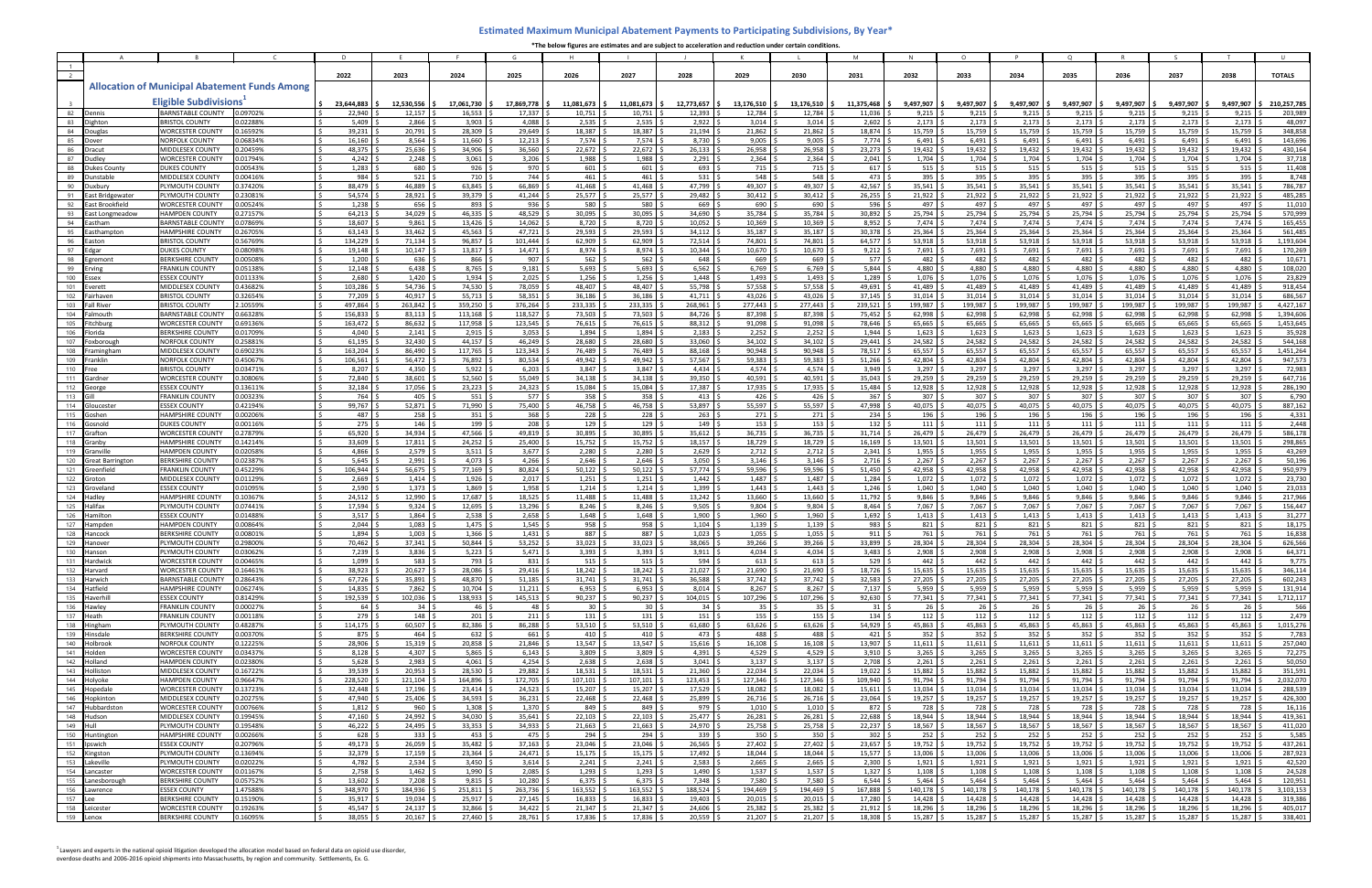|                         |                                    |                                                         |                      | <sup>D</sup>                    |                               |                             | G                          |                   |                          |                             | K                      |                                 | M                 |                                 | $\Omega$                        |                  | $\Omega$                    |                             |                         |                      |                        |
|-------------------------|------------------------------------|---------------------------------------------------------|----------------------|---------------------------------|-------------------------------|-----------------------------|----------------------------|-------------------|--------------------------|-----------------------------|------------------------|---------------------------------|-------------------|---------------------------------|---------------------------------|------------------|-----------------------------|-----------------------------|-------------------------|----------------------|------------------------|
|                         |                                    |                                                         |                      |                                 |                               |                             |                            |                   |                          |                             |                        |                                 |                   |                                 |                                 |                  |                             |                             |                         |                      |                        |
|                         |                                    |                                                         |                      | 2022                            | 2023                          | 2024                        | 2025                       | 2026              | 2027                     | 2028                        | 2029                   | 2030                            | 2031              | 2032                            | 2033                            | 2034             | 2035                        | 2036                        | 2037                    | 2038                 | <b>TOTALS</b>          |
|                         |                                    | <b>Allocation of Municipal Abatement Funds Among</b>    |                      |                                 |                               |                             |                            |                   |                          |                             |                        |                                 |                   |                                 |                                 |                  |                             |                             |                         |                      |                        |
|                         |                                    | <b>Eligible Subdivisions</b>                            |                      | 23.644.883                      | 12,530,556                    | 17.061.730                  | 17.869.778                 | 11.081.673        | 11.081.673               | 12.773.657                  | 13,176,510             | 13.176.510 5                    | 11.375.468        | 9.497.907                       | 9.497.907                       | 9.497.907        | 9.497.907                   | 9,497,907                   | 9,497,907               | 9.497.907            | 210,257,785            |
| 82                      | Dennis                             | BARNSTABLE COUNTY                                       | 0.09702%             | 22,940                          | 12,157                        | 16,553                      | 17,337                     | 10,751            | 10,751                   | 12,393                      | 12,784                 | 12,784                          | 11,036            | 9,215                           | 9,215                           | 9,215            | 9,215                       | 9,215                       | 9,215                   | 9,215                | 203,989                |
| 83<br>84                | Dighton                            | <b>BRISTOL COUNTY</b><br><b>VORCESTER COUNTY</b>        | 0.02288%             | 5,409                           | 2,866                         | 3,903                       | 4,088                      | 2,535             | 2,535                    | 2,922                       | 3,014                  | 3,014                           | 2,602             | 2,173                           | 2,173                           | 2,173            | 2,173                       | 2,173                       | 2,173                   | 2,173                | 48,097<br>348,858      |
| 85                      | Douglas                            | <b>NORFOLK COUNTY</b>                                   | 0.16592%<br>0.06834% | 39,231<br>16,160                | 20,791 :<br>8,564 \$          | 28,309<br>11,660            | 29,649<br>12,213           | 18,387<br>7,574   | 18,387<br>7,574          | 21,194<br>8,730             | 21,862<br>9,005        | 21,862<br>9,005                 | 18,874<br>7,774   | 15,759<br>6,491                 | 15,759<br>6,491                 | 15,759<br>6,491  | 15,759<br>6,491             | 15,759<br>6,491             | 15,759<br>6,491         | 15,759<br>6,491      | 143,696                |
| 86                      | Dracut                             | <b>MIDDLESEX COUNTY</b>                                 | 0.20459%             | 48,375                          | 25,636                        | 34,906                      | 36,560                     | 22,672            | 22,672                   | 26,133                      | 26,958                 | 26,958                          | 23,273            | 19,432                          | 19,432                          | 19,432           | 19,432                      | 19,432 :                    | 19,432                  | 19,432               | 430,164                |
| 87                      | <b>Dudley</b>                      | <b>WORCESTER COUNTY</b>                                 | 0.01794%             | 4,242                           | 2,248                         | 3,061                       | 3,206                      | 1,988             | 1,988                    | 2,291                       | 2,364                  | 2,364                           | 2,041             | 1,704                           | 1,704                           | 1,704            | 1,704                       | $1,704$ :                   | 1,704                   | 1,704                | 37,718                 |
| 88                      | Dukes County<br>unstahle           | <b>DUKES COUNTY</b>                                     | 0.00543%             | 1,283                           | 680 9                         | 926                         | 970                        | 601               | 601<br>461               | 693                         | 715                    | 715                             | 617               | 515                             | 515                             | 515              | 515                         | $515$ !                     | 515                     | 515                  | 11,408                 |
| 89<br>90                | uxbur                              | <b>MIDDLESEX COUNTY</b><br>PLYMOUTH COUNTY              | 0.00416%<br>0.37420% | 984<br>88,479                   | 521<br>46,889                 | 710<br>63,845               | 744<br>66,869              | 461<br>41,468     | 41,468                   | $531 \frac{1}{2}$<br>47,799 | 548<br>49,307          | 548<br>49,307                   | 473<br>42,567     | 395<br>35,541                   | 395<br>35,541                   | 395<br>35,541    | 395<br>35,541               | 395<br>$35,541$ \$          | 395<br>35,541           | 395<br>35,541        | 8,748<br>786,787       |
| 91                      | East Bridgewater                   | LYMOUTH COUNTY                                          | 0.23081%             | 54,574                          | 28,921 \$                     | 39,379                      | 41,244                     | 25,577            | 25,577                   | 29,482                      | 30,412                 | 30,412                          | 26,255            | 21,922                          | 21,922                          | 21,922           | 21,922                      | 21,922                      | 21,922                  | 21,922               | 485,285                |
| 92                      | East Brookfield                    | <b>WORCESTER COUNT</b>                                  | 0.00524%             | 1,238                           | 656                           | 893                         | 936                        | 580               | 580                      | 669                         | 690                    | 690                             | 596               | 497                             | 497                             | 497              | 497                         | 497                         | 497                     | 497                  | 11,010                 |
| 93                      | East Longmeadow                    | <b>HAMPDEN COUNTY</b>                                   | 0.27157%             | 64,213                          | 34,029                        | 46,335                      | 48,529                     | 30,095            | 30,095                   | 34,690                      | 35,784                 | 35,784                          | 30,892            | 25,794                          | 25,794                          | 25,794           | 25,794                      | 25,794                      | 25,794                  | 25,794               | 570,999                |
| 94<br>95                | Fastham<br><sup>:</sup> asthamntor | BARNSTABLE COUNTY<br><b>HAMPSHIRE COUNTY</b>            | 0.07869%<br>0.26705% | 18,607<br>63,143                | $9,861$ \$<br>33,462 5        | 13,426<br>45,563            | 14,062<br>47,721           | 8,720<br>29,593   | 8,720<br>29,593          | 10,052<br>34,112            | 10,369<br>35,187       | 10,369<br>35,187                | 8,952<br>30,378   | 7,474<br>25,364                 | 7,474<br>25,364                 | 7,474<br>25,364  | 7,474<br>25,364             | $7,474$ :<br>25,364         | 7,474<br>25,364         | 7,474<br>25,364      | 165,455<br>561,485     |
| 96                      | Easton                             | <b>BRISTOL COUNTY</b>                                   | 0.56769%             | 134,229                         | $71,134$ \$                   | 96,857                      | 101,444                    | 62,909            | 62,909                   | 72,514                      | 74,801                 | 74,801                          | 64,577            | 53,918                          | 53,918                          | 53,918           | 53,918                      | 53,918                      | 53,918                  | 53,918               | 1,193,604              |
| 97                      | Edgar                              | DUKES COUNTY                                            | 0.08098%             | 19,148                          | $10,147$ \$                   | 13,817                      | 14,471                     | 8,974             | 8,974                    | $10,344$ \$                 | 10,670                 | 10.670                          | 9,212             | 7,691                           | 7,691                           | 7,691            | 7,691                       | $7,691$ \$                  | 7,691                   | 7,691                | 170,269                |
| 98                      | Føremon                            | <b>ERKSHIRE COUNTY</b>                                  | 0.00508%             | 1,200                           | 636 \$                        | 866                         | 907                        | 562               | 562                      | $648 \frac{1}{2}$           | 669                    | 669                             | 577               | 482                             | 482                             | 482              | 482                         | 482 $\frac{3}{5}$           | 482                     | 482                  | 10,671                 |
| 99<br>100               | Ervin<br>Essex                     | <b>FRANKLIN COUNT</b><br><b>ESSEX COUNTY</b>            | 0.05138%<br>0.01133% | 12,148<br>2,680                 | 6,438<br>$1,420$ \$           | 8,765<br>1,934              | 9,181<br>2,025             | 5,693<br>1,256    | 5,693<br>1,256           | 6,562<br>1,448              | 6,769<br>1,493         | 6,769<br>1,493                  | 5,844<br>1,289    | 4,880<br>1,076                  | 4,880<br>1,076                  | 4,880<br>1,076   | 4.880<br>1,076              | 4,880<br>1,076              | 4,880<br>1,076          | 4.880<br>1,076       | 108,020<br>23,829      |
| 101                     | Everett                            | <b>MIDDLESEX COUNTY</b>                                 | 0.43682%             | 103,286                         | 54,736 \$                     | 74,530                      | 78,059                     | 48,407            | 48.407                   | 55,798 \$                   | 57,558                 | 57,558                          | 49,691            | 41,489                          | 41,489                          | 41,489           | 41,489                      | 41,489                      | 41,489                  | 41,489               | 918,454                |
| 102                     | Fairhaven                          | <b>BRISTOL COUNT</b>                                    | 0.32654%             | 77,209                          | 40,917 \$                     | 55,713                      | 58,351                     | 36,186            | 36,186                   | $41,711$ \$                 | 43,026                 | 43,026                          | 37,145            | 31,014                          | 31,014                          | 31,014           | 31,014                      | 31,014 :                    | 31,014                  | 31,014               | 686,567                |
| 103                     | Fall River                         | <b>BRISTOL COUNTY</b>                                   | 2.10559%             | 497,864                         | 263,842                       | 359,250                     | 376,264                    | 233,335           | 233,335                  | 268,961                     | 277,443                | 277,443                         | 239,521           | 199,987                         | 199,987                         | 199,987          | 199.987                     | 199,987                     | 199,987                 | 199,987              | 4,427,167              |
| 104<br>105              | Falmouth<br>Fitchburg              | <b>BARNSTABLE COUNTY</b><br><b>VORCESTER COUNTY</b>     | 0.66328%<br>0.69136% | 156,833<br>163,472              | $83,113$ \$<br>86,632 \$      | 113,168<br>117,958          | 118.527<br>123,545         | 73.503<br>76,615  | 73,503<br>76,615         | 84,726<br>88,312 \$         | 87,398<br>91,098       | 87.398<br>91,098                | 75,452<br>78,646  | 62,998<br>65,665                | 62,998<br>65,665                | 62,998<br>65,665 | 62.998<br>65,665            | 62,998<br>65,665            | 62,998<br>65,665        | 62,998<br>65,665     | 1,394,606<br>1,453,645 |
| 106                     | lorida                             | BERKSHIRE COUNT                                         | 0.01709%             | 4,040                           | $2,141$   \$                  | 2,915                       | 3,053                      | 1,894             | 1,894                    | 2,183                       | 2,252                  | 2,252                           | 1,944             | 1,623                           | 1,623                           | 1,623            | 1,623                       | 1,623                       | 1,623                   | 1,623                | 35,928                 |
| 107                     | Foxborough                         | <b>NORFOLK COUNTY</b>                                   | 0.25881%             | 61,195                          | 32,430 9                      | 44,157                      | 46,249                     | 28.680            | 28.680                   | 33,060                      | 34,102                 | 34,102                          | 29,441            | 24,582                          | 24,582                          | 24,582           | 24,582                      | 24,582                      | 24,582                  | 24,582               | 544,168                |
| 108                     | Framingham                         | <b>MIDDLESEX COUNTY</b>                                 | 0.69023%             | 163,204                         | 86,490 \$                     | 117,765                     | 123,343                    | 76,489            | 76,489                   | 88,168 \$                   | 90,948                 | 90,948                          | 78,517            | 65,557                          | 65,557                          | 65,557           | 65,557                      | 65,557                      | 65,557                  | 65,557               | 1,451,264              |
| 109<br>110              | iranklir                           | <b>NORFOLK COUNTY</b><br><b>BRISTOL COUNT</b>           | 0.45067%<br>0.03471% | 106,561<br>8,207                | 56,472 \$<br>4,350 \$         | 76,892<br>5,922             | 80,534<br>6,203            | 49,942<br>3,847   | 49,942<br>3,847          | 57,567 \$<br>4,434 \$       | 59,383<br>4,574        | 59,383<br>4,574                 | 51,266<br>3,949   | 42,804<br>3,297                 | 42,804<br>3,297                 | 42,804<br>3,297  | 42,804<br>3,297             | 42,804<br>3,297             | 42,804<br>3,297         | 42,804<br>3,297      | 947,573<br>72,983      |
| 111                     | Gardner                            | <b>WORCESTER COUNTY</b>                                 | 0.30806%             | 72,840                          | 38.601 \$                     | 52,560                      | 55,049                     | 34,138            | 34,138                   | 39.350                      | 40,591                 | 40.591                          | 35,043            | 29,259                          | 29,259                          | 29,259           | 29,259                      | 29,259 :                    | 29,259                  | 29,259               | 647,716                |
| 112                     |                                    | <b>ESSEX COUNTY</b>                                     | 0.13611%             | 32,184                          | 17,056 \$                     | 23,223                      | 24,323                     | 15,084            | 15,084                   | 17,387 \$                   | 17,935                 | 17,935 \$                       | 15,484            | 12,928                          | 12,928                          | 12,928           | 12,928                      | 12,928                      | 12,928                  | 12,928               | 286,190                |
| 113                     |                                    | <b>FRANKLIN COUNT</b>                                   | 0.00323%             | 764 9                           | $405 \quad$ \$                | 551                         | 577                        | 358               | 358                      | $413 \quad$ \$              | 426                    | 426                             | 367               | 307                             | 307                             | 307              | 307                         | 307 <sup>5</sup>            | 307                     | 307                  | 6,790                  |
| 114<br>115              | Glouceste<br>Gosher                | <b>ESSEX COUNTY</b><br><b>HAMPSHIRE COUNTY</b>          | 0.42194%<br>0.00206% | 99,767<br>487                   | 52,871<br>$258^{6}$           | 71,990<br>351               | 75,400<br>368              | 46,758<br>228     | 46,758<br>228            | 53,897<br>$263 \frac{1}{2}$ | 55,597<br>271          | 55,597<br>271                   | 47,998<br>234     | 40,075<br>196                   | 40,075<br>196                   | 40,075<br>196    | 40,075<br>196               | 40,075<br>196               | 40,075<br>196           | 40,075<br>196        | 887,162<br>4,331       |
| 116                     | Gosnold                            | <b>OUKES COUNTY</b>                                     | 0.00116%             | $275 \quad$ \$                  | 146 <sup>5</sup>              | 199                         | 208                        | 129               | 129 <sup>°</sup>         | 149S                        | 153                    | 153                             | 132               | 111                             | $111$ $\frac{3}{2}$             | 111              | 111                         | 1115                        | $111 \frac{1}{2}$       | 111                  | 2,448                  |
| 117                     | Graftor                            | <b>VORCESTER COUNTY</b>                                 | 0.27879%             | 65,920                          | 34,934                        | 47,566                      | 49,819                     | 30,895            | 30,895                   | 35,612                      | 36,735                 | 36,735                          | 31,714            | 26,479                          | 26,479                          | 26,479           | 26,479                      | 26,479                      | 26,479                  | 26,479               | 586,178                |
| 118                     | Granby                             | <b>HAMPSHIRE COUNTY</b>                                 | 0.14214%             | 33,609                          | 17,811                        | 24,252                      | 25,400                     | 15,752            | 15,752                   | 18,157                      | 18,729                 | 18,729                          | 16,169            | 13,501                          | 13,501                          | 13,501           | 13,501                      | 13,501                      | 13,501                  | 13,501               | 298,865                |
| 119<br>120              | Granville<br>Great Barrington      | <b>HAMPDEN COUNTY</b><br><b><i>BERKSHIRE COUNTY</i></b> | 0.02058%<br>0.02387% | 4,866<br>5,645                  | 2,579<br>2,991                | 3,511<br>4,073              | 3,677<br>4,266             | 2,280<br>2.646    | 2,280<br>2.646           | 2,629<br>$3,050$ \$         | 2,712<br>3,146         | 2,712<br>3,146                  | 2,341<br>2,716    | 1,955<br>2,267                  | 1,955<br>2,267                  | 1,955<br>2,267   | 1,955<br>2,267              | 1,955<br>$2,267$ :          | 1,955<br>2,267          | 1,955<br>2,267       | 43,269<br>50,196       |
| 121                     | reenfield                          | FRANKLIN COUNTY                                         | 0.45229%             | 106,944                         | 56,675                        | 77,169                      | 80,824                     | 50,122            | 50,122                   | 57,774                      | 59,596                 | 59,596                          | 51,450            | 42,958                          | 42,958                          | 42,958           | 42,958                      | 42,958                      | 42,958                  | 42,958               | 950,979                |
| 122                     | Groton                             | <b><i>AIDDLESEX COUNT</i></b>                           | 0.01129%             | 2,669                           | 1,414                         | 1,926                       | 2,017                      | 1,251             | 1,251                    | 1,442                       | 1,487                  | 1,487                           | 1,284             | 1,072                           | 1,072                           | 1,072            | 1,072                       | 1,072                       | 1,072                   | 1,072                | 23,730                 |
| 123                     | Groveland                          | <b>ESSEX COUNTY</b>                                     | 0.01095%             | 2,590                           | $1,373$ $\frac{1}{2}$         | 1,869                       | 1,958                      | 1,214             | 1,214                    | 1,399                       | 1,443                  | 1,443                           | 1,246             | 1,040                           | 1,040                           | 1,040            | 1,040                       | 1,040                       | 1,040                   | 1,040                | 23,033                 |
| 124<br>125              | Hadlev<br>Halifax                  | <b>HAMPSHIRE COUNTY</b><br>LYMOUTH COUNTY               | 0.10367%<br>0.07441% | 24,512<br>17,594                | 12,990 !<br>$9,324$ :         | 17,687<br>12,695            | 18,525<br>13,296           | 11.488<br>8,246   | 11.488<br>8,246          | 13,242<br>9,505             | 13,660<br>9,804        | 13.660<br>9,804                 | 11,792<br>8,464   | 9.846<br>7,067                  | 9.846<br>7,067                  | 9.846<br>7,067   | 9.846<br>7,067              | 9,846<br>7,067              | 9,846<br>7,067          | 9.846<br>7,067       | 217,966<br>156,447     |
| 126                     | Hamilton                           | <b>ESSEX COUNTY</b>                                     | 0.01488%             | 3,517                           | 1,864                         | 2,538                       | 2,658                      | 1,648             | 1,648                    | 1,900                       | 1,960                  | 1,960                           | 1,692             | 1,413                           | 1,413                           | 1,413            | 1,413                       | $1,413$ :                   | 1,413                   | 1,413                | 31,277                 |
| 127                     | Hampden                            | <b>HAMPDEN COUNTY</b>                                   | 0.00864%             | 2,044                           | $1,083$ :                     | 1,475                       | 1,545                      | 958               | 958                      | $1,104$ :                   | 1,139                  | 1,139                           | 983               | 821                             | 821                             | 821              | 821                         | $821$ :                     | 821                     | 821                  | 18,175                 |
| 128                     | lancocl                            | BERKSHIRE COUNT                                         | 0.00801%             | 1.894                           | 1,003                         | 1,366                       | 1,431                      | 887               | 887                      | 1,023                       | 1,055                  | 1,055                           | 911               | 761                             | 761                             | 761              | 761                         | 761                         | 761                     | 761                  | 16,838                 |
| 129                     | lanovei                            | LYMOUTH COUNTY                                          | 1.29800%             | 70,462                          | 37,341 \                      | 50,844                      | 53,252                     | 33,023            | 33,023                   | 38,065                      | 39,266                 | 39,266                          | 33,899            | 28,304                          | 28,304                          | 28,304           | 28,304                      | 28,304 :                    | 28,304                  | 28.304               | 626,566                |
|                         | 130 Hanson<br>131 Hardwick         | LYMOUTH COUNTY<br><b>WORCESTER COUNTY</b>               | 0.03062%<br>0.00465% | 7,239<br>$1,099$ \$             | 3,836   \$<br>$583 \quad $5$  | 5,223   \$<br>793 \$        | 5,471 \$<br>831 \$         | 3,393  <br>515    | 3,393 \$<br>$515$ \$     | $3,911$ 5<br>594S           | $4,034$ \$<br>$613$ \$ | $4,034$ 5<br>$613 \quad $$      | 3,483  <br>529    | 2,908 :<br>$442 \quad$ \$       | 2,908<br>$442 \,$ \$            | 2,908<br>442     | 2,908<br>$442 \div$         | 2,908<br>442 \$             | 2,908<br>$442 \quad$ \$ | 2.908<br>442         | 64,371<br>9,775        |
| 132                     | Harvard                            | <b>WORCESTER COUNTY</b>                                 | 0.16461%             | 38,923 \$                       | $20,627$ \$                   | 28,086                      | $29,416$ \$                | 18,242            | $18,242$ \$              | $21,027$ \$                 | 21,690                 | $21,690$ \$                     | 18,726            | $15,635$ \$                     | 15,635                          | 15,635           | 15,635                      | $15,635$ \$                 | 15,635                  | 15,635               | 346,114                |
|                         | 133 Harwich                        | BARNSTABLE COUNTY                                       | 0.28643%             | $67,726$ \$                     | 35,891 \$                     | 48,870                      | $51,185$ ;                 | 31,741            | 31,741                   | 36,588 \$                   | 37,742                 | 37,742                          | 32,583            | 27,205                          | 27,205                          | 27,205           | 27,205                      | $27,205$ \$                 | 27,205                  | 27,205               | 602,243                |
|                         | 134 Hatfield<br>135 Haverhill      | HAMPSHIRE COUNTY<br><b>ESSEX COUNTY</b>                 | 0.06274%<br>0.81429% | 14,835<br>192,539 \$            | 7,862 \$<br>102,036 \$        | 10,704<br>138,933           | $11,211$ ;<br>$145,513$ \$ | 6,953<br>90,237   | 6,953<br>$90,237$ \$     | $8,014$ \$<br>104,015 \$    | 8,267<br>107,296       | $8,267$ \$<br>107,296 \$        | 7,137<br>92,630   | 5,959<br>77,341                 | 5,959<br>77,341                 | 5,959<br>77,341  | 5,959<br>77,341             | $5,959$ \$<br>$77,341$ \$   | 5,959<br>$77,341$ \$    | 5,959<br>$77,341$ \$ | 131,914<br>1,712,117   |
| 136                     | Hawley                             | <b>FRANKLIN COUNTY</b>                                  | 0.00027%             | $64 \quad$ \$                   | $34 \quad$ \$                 | $46 \pm$                    | $48 \pm$                   | 30 <sub>1</sub>   | 30 <sup>5</sup>          | $34 \quad$ \$               | $35 \frac{1}{2}$       | $35 \quad$ \$                   | 31                | $26 \frac{1}{2}$                | $26 \quad$                      | 26               | $26 \frac{2}{3}$            | 26 <sup>5</sup>             | $26 \quad$ \$           | 26                   | 566                    |
| 137                     | Heath                              | <b>FRANKLIN COUNTY</b>                                  | 0.00118%             | 279 \$                          | $148 \pm$                     | $201 \,$ \$                 | $211 \frac{5}{7}$          | 131               | $131 \,$ \$              | $151 \pm$                   | $155 \quad$ \$         | $155 \frac{1}{2}$               | 134               | $112 \quad$ \$                  | $112 \quad$ \$                  | 112              | 112                         | $112 \quad$ \$              | $112 \quad$ \$          | 112                  | 2,479                  |
|                         | 138 Hingham                        | PLYMOUTH COUNTY                                         | 0.48287%             | $114,175$ \$                    | $60,507$ \$                   | $82,386$ \$                 | 86,288 \$                  | 53,510            | $53,510$ \$              | 61,680 \$                   | $63,626$ \$            | $63,626$ \$                     | 54,929            | $45,863$ \$                     | 45,863 \$                       | 45,863           | 45,863                      | $45,863$ \$                 | 45,863 \$               | 45,863               | 1,015,276              |
|                         | 139 Hinsdale<br>140 Holbrook       | <b>BERKSHIRE COUNTY</b><br><b>NORFOLK COUNTY</b>        | 0.00370%<br>0.12225% | $875$ \$<br>28,906 \$           | $464 \quad$ \$<br>$15,319$ \$ | $632 \quad$ \$<br>20,858 \$ | 661S<br>$21,846$ \$        | 410<br>13,547     | $410 \pm$<br>$13,547$ \$ | 473 \$<br>$15,616$ \$       | 488<br>$16,108$ \$     | 488 <sup>5</sup><br>$16,108$ \$ | 421<br>13,907     | 352 <sup>5</sup><br>$11,611$ \$ | 352 <sup>°</sup><br>$11,611$ \$ | 352<br>11,611    | 352 <sup>°</sup><br>11,611  | $352 \quad$<br>$11,611$ \$  | 352<br>$11,611$ \$      | 352<br>11,611        | 7,783<br>257,040       |
|                         | 141 Holden                         | <b>WORCESTER COUNTY</b>                                 | 0.03437%             | $8,128$ \$                      | 4,307 \$                      | 5,865                       | 6,143                      | 3,809             | $3,809$ \$               | $4,391$ \$                  | 4,529                  | $4,529$ \$                      | 3,910             | 3,265                           | $3,265$ \$                      | 3,265            | 3,265                       | $3,265$ \$                  | 3,265                   | 3,265                | 72,275                 |
| 142                     | Holland                            | <b>HAMPDEN COUNTY</b>                                   | 0.02380%             | 5,628                           | $2,983$ \$                    | 4,061                       | $4,254$ :                  | 2,638             | 2,638                    | $3,041$ \$                  | $3,137$ \$             | $3,137$ \$                      | 2,708             | 2,261                           | $2,261$ :                       | 2,261            | 2,261                       | $2,261$ \$                  | 2,261                   | 2,261                | 50,050                 |
| 143                     | Holliston                          | MIDDLESEX COUNTY                                        | 0.16722%             | $39,539$ \$                     | $20,953$ \$                   | 28,530 \$                   | 29,882 \$                  | 18,531            | $18,531$ \$              | $21,360$ \$                 | $22,034$ \$            | $22,034$ \$                     | 19,022            | 15,882                          | 15,882 \$                       | 15,882           | 15,882                      | $15,882$ \$                 | 15,882 \$               | 15,882               | 351,591                |
| 144<br>$\overline{145}$ | Holyoke<br>Hopedale                | HAMPDEN COUNTY<br><b>WORCESTER COUNTY</b>               | 0.96647%<br>0.13723% | 228,520 \$<br>32,448            | $121,104$ \$<br>$17,196$ \$   | 164,896 \$<br>$23,414$ \$   | 172,705 \$<br>24,523       | 107,101<br>15,207 | 107,101<br>15,207        | 123,453 \$<br>17,529 \$     | 127,346 \$<br>18,082   | 127,346 \$<br>18,082 \$         | 109,940<br>15,611 | 91,794<br>13,034                | 91,794 \$<br>13,034 \$          | 91,794<br>13,034 | 91,794<br>13,034            | $91,794$ \$<br>$13,034$ \$  | $91,794$ \$<br>13,034   | 91,794<br>13,034     | 2,032,070<br>288,539   |
| 146                     | Hopkinton                          | MIDDLESEX COUNTY                                        | 0.20275%             | 47,940                          | $25,406$ \$                   | 34,593                      | $36,231$ $\frac{1}{2}$     | 22,468            | 22,468                   | $25,899$ \$                 | 26,716                 | 26,716 \$                       | 23,064            | 19,257                          | 19,257                          | 19,257           | 19,257                      | $19,257$ \$                 | 19,257                  | 19,257               | 426,300                |
|                         | 147 Hubbardston                    | <b>WORCESTER COUNTY</b>                                 | 0.00766%             | $1,812$ \$                      | 960 \$                        | $1,308$ \$                  | $1,370$ \$                 | 849               | 849 \$                   | 979 \$                      | $1,010$ \$             | $1,010$ \$                      | 872               | 728                             | 728   \$                        | 728              | 728                         | 728 \$                      | 728 S                   | 728                  | 16,116                 |
| $\overline{148}$        | Hudson                             | MIDDLESEX COUNTY                                        | 0.19945%             | $47,160$ \$                     | $24,992$ \$                   | 34,030                      | $35,641$ \$                | 22,103            | $22,103$ \$              | $25,477$ \$                 | 26,281                 | $26,281$ \$                     | 22,688            | 18,944                          | 18,944 \$                       | 18,944           | 18,944                      | 18,944 \$                   | $18,944$ \$             | 18,944               | 419,361                |
| 149                     | Hull<br>150 Huntington             | PLYMOUTH COUNTY<br>HAMPSHIRE COUNTY                     | 0.19548%<br>0.00266% | $46,222$ \$<br>628 <sup>5</sup> | $24,495$ \$<br>3335           | 33,353<br>$453 \,$ \$       | $34,933$ \$<br>475         | 21,663<br>294     | $21,663$ \$<br>294S      | 24,970 \$<br>$339$ \$       | 25,758<br>$350 \pm$    | 25,758 \$<br>350 <sup>5</sup>   | 22,237<br>302     | 18,567<br>$252 \frac{1}{2}$     | 18,567<br>$252 \frac{6}{7}$     | 18,567<br>252    | 18,567<br>$252 \frac{6}{7}$ | 18,567 \$<br>$252 \quad$ \$ | 18,567<br>252:          | 18,567<br>252        | 411,020<br>5,585       |
|                         | 151 Ipswich                        | <b>ESSEX COUNTY</b>                                     | 0.20796%             | 49,173 \$                       | $26,059$ \$                   | $35,482$ \$                 | $37,163$ \$                | 23,046            | 23,046 \$                | $26,565$ \$                 | $27,402$ \$            | $27,402$ \$                     | 23,657            | $19,752$ \$                     | 19,752 \$                       | 19,752           | 19,752                      | $19,752$ \$                 | $19,752$ \$             | 19,752               | 437,261                |
|                         | 152 Kingston                       | PLYMOUTH COUNTY                                         | 0.13694%             | $32,379$ \$                     | $17,159$ \$                   | 23,364                      | $24,471$ \$                | 15,175            | $15,175$ \$              | 17,492 \$                   | $18,044$ \$            | $18,044$ \$                     | 15,577            | 13,006 \$                       | 13,006 \$                       | 13,006           | $13,006$ \$                 | $13,006$ \$                 | 13,006 \$               | 13,006               | 287,923                |
|                         | 153 Lakeville                      | PLYMOUTH COUNTY                                         | 0.02022%             | 4,782 \$                        | $2,534$ \$                    | 3,450                       | $3,614$ \$                 | 2,241             | $2,241$ \$               | $2,583$ \$                  | 2,665                  | $2,665$ \$                      | 2,300             | $1,921$ \$                      | $1,921$ $\frac{3}{2}$           | 1,921            | 1,921                       | 1,921                       | $1,921$ :               | 1,921                | 42,520                 |
| 154                     | Lancaster<br>155 Lanesborough      | <b>WORCESTER COUNTY</b>                                 | 0.01167%             | 2,758                           | $1,462$ \$                    | 1,990                       | 2,085                      | 1,293             | $1,293$ \$               | 1,490<br>7,348              | 1,537                  | 1,537                           | 1,327             | 1,108                           | 1,108                           | 1,108            | 1,108                       | 1,108<br>5,464              | 1,108                   | 1,108                | 24,528                 |
| 156                     | Lawrence                           | BERKSHIRE COUNTY<br><b>ESSEX COUNTY</b>                 | 0.05752%<br>1.47588% | 13,602<br>348,970 \$            | $7,208$ \$<br>184,936 \$      | 9,815<br>251,811            | 10,280<br>263,736 \$       | 6,375<br>163,552  | 6,375<br>163,552 \$      | 188,524 \$                  | 7,580<br>194,469       | 7,580<br>194,469 \$             | 6,544<br>167,888  | 5,464<br>140,178                | 5,464<br>140,178                | 5,464<br>140,178 | 5,464<br>140,178            | 140,178 \$                  | 5,464<br>140,178        | 5,464<br>140,178     | 120,951<br>3,103,153   |
| $157$ Lee               |                                    | <b>BERKSHIRE COUNTY</b>                                 | 0.15190%             | 35,917                          | $19,034$ \$                   | 25,917                      | 27,145                     | 16,833            | 16,833                   | 19,403                      | 20,015                 | 20,015                          | 17,280            | 14,428                          | 14,428                          | 14,428           | 14,428                      | 14,428                      | 14,428                  | 14,428               | 319,386                |
|                         | $158$ Leicester                    | WORCESTER COUNTY                                        | 0.19263%             | 45,547                          | $24,137$ \$                   | 32,866                      | 34,422                     | 21,347            | 21,347                   | 24,606                      | 25,382                 | 25,382                          | 21,912            | 18,296                          | 18,296                          | 18,296           | 18,296                      | 18,296                      | 18,296                  | 18,296               | 405,017                |
| $159$ Lenox             |                                    | BERKSHIRE COUNTY                                        | 0.16095%             | 38,055 \$<br>IS.                | $20,167$ \$                   | $27,460$ \$                 | 28,761 \$                  | 17,836            | 17,836 \$                | $20,559$ \$                 | $21,207$ \$            | 21,207 \$                       | 18,308            | $15,287$ \$                     | $15,287$ \$                     | 15,287 \$        | $15,287$ \$                 | $15,287$ \$                 | 15,287 \$               | $15,287$ \$          | 338,401                |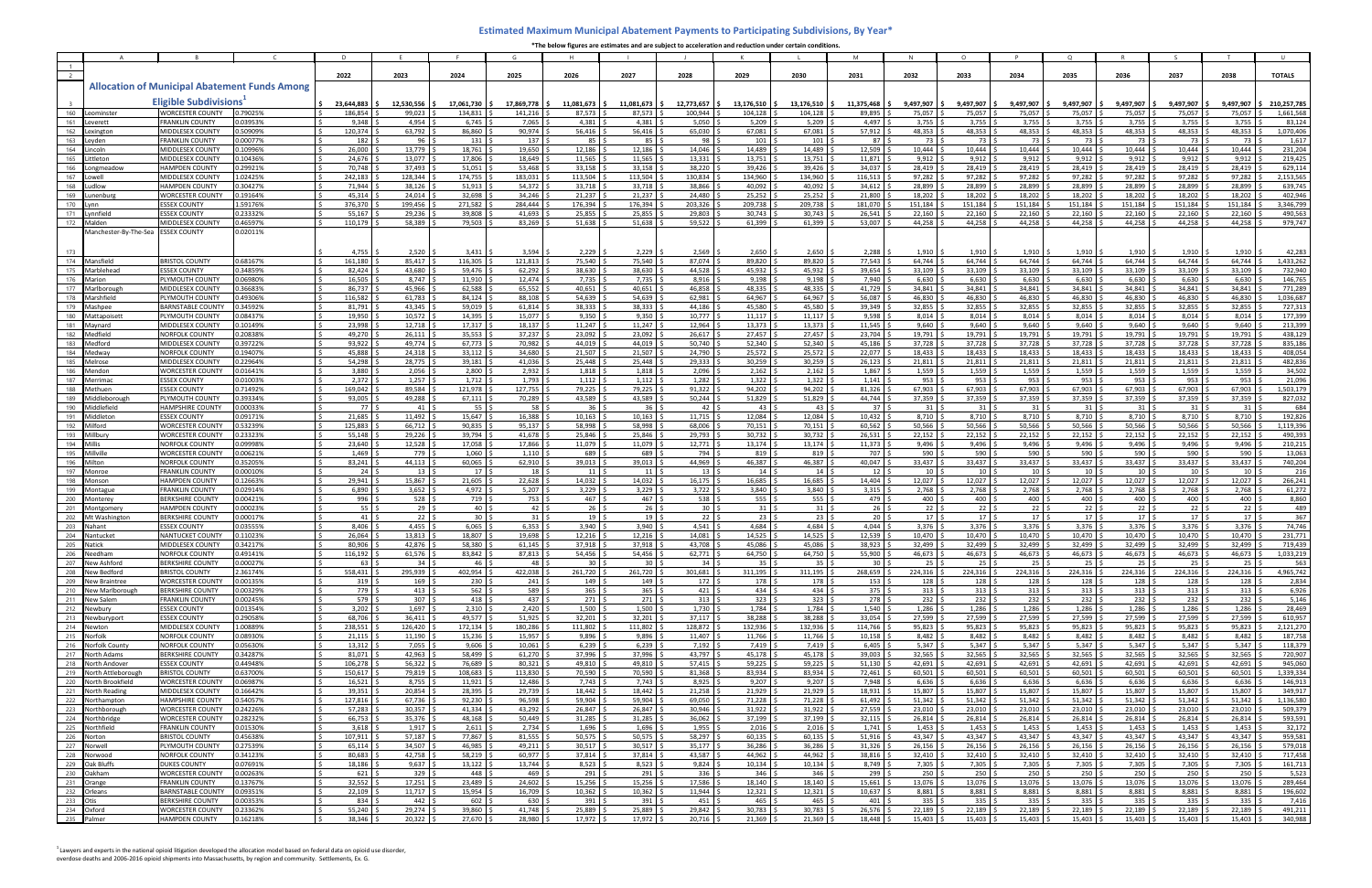|                |                                            |                                                      |                      | D                                              |                                                     |                                    | G                             |                                |                                    | THE DEIDW TIEUTES ALE ESUITIALES ANU ALE SUDIELL LO ALLEIETALION ANU TEUULLION | K                                                         |                                 | M                     |                                                  | $\circ$                                   |                               | $\Omega$                         |                                |                            |                           |                                |
|----------------|--------------------------------------------|------------------------------------------------------|----------------------|------------------------------------------------|-----------------------------------------------------|------------------------------------|-------------------------------|--------------------------------|------------------------------------|--------------------------------------------------------------------------------|-----------------------------------------------------------|---------------------------------|-----------------------|--------------------------------------------------|-------------------------------------------|-------------------------------|----------------------------------|--------------------------------|----------------------------|---------------------------|--------------------------------|
| $\overline{1}$ |                                            |                                                      |                      |                                                |                                                     |                                    |                               |                                |                                    |                                                                                |                                                           |                                 |                       |                                                  |                                           |                               |                                  |                                |                            |                           |                                |
|                |                                            |                                                      |                      | 2022                                           | 2023                                                | 2024                               | 2025                          | 2026                           | 2027                               | 2028                                                                           | 2029                                                      | 2030                            | 2031                  | 2032                                             | 2033                                      | 2034                          | 2035                             | 2036                           | 2037                       | 2038                      | <b>TOTALS</b>                  |
|                |                                            | <b>Allocation of Municipal Abatement Funds Among</b> |                      |                                                |                                                     |                                    |                               |                                |                                    |                                                                                |                                                           |                                 |                       |                                                  |                                           |                               |                                  |                                |                            |                           |                                |
|                |                                            | <b>Eligible Subdivisions</b>                         |                      | 23,644,883                                     | 12,530,556                                          | 17,061,730                         | 17,869,778                    | 11,081,673                     | 11,081,673                         | 12,773,657                                                                     | 13,176,510                                                | 13,176,510                      | 11,375,468            | 9,497,907                                        | 9,497,907                                 | 9,497,907                     | 9,497,907                        | 9,497,907                      | 9,497,907                  | 9,497,907                 | 210,257,785                    |
| 160            | Leominster                                 | <b>VORCESTER COUNTY</b>                              | 0.79025%             | 186,854                                        | 99,023                                              | 134,831                            | 141,216                       | 87,573                         | 87,573                             | 100,944                                                                        | 104,128                                                   | 104,128                         | 89,895                | 75,057                                           | 75,057                                    | 75,057                        | 75,057                           | 75,057                         | 75,057                     | 75,057                    | 1,661,568                      |
| 161<br>162     | Leverett<br>Lexington                      | <b>FRANKLIN COUNTY</b><br><b>MIDDLESEX COUNTY</b>    | 0.03953%<br>0.50909% | 9,348<br>120,374                               | 4,954<br>63,792 \$                                  | 6,745<br>86,860                    | 7,065<br>90,974               | 4,381<br>56,416                | 4,381<br>56,416                    | 5,050<br>65,030                                                                | 5,209<br>67,081                                           | 5,209<br>67,081                 | 4,497<br>57,912       | 3,755<br>48,353                                  | 3,755<br>48,353                           | 3,755<br>48,353               | 3,755<br>48,353                  | 3,755<br>48,353                | 3,755<br>48,353            | 3,755<br>48,353           | 83,124<br>1,070,406            |
| 163            | Leyden                                     | <b>FRANKLIN COUNTY</b>                               | 0.00077%             | 182                                            | $96 \quad$                                          | 131                                | 137                           | 85                             | 85 I                               | 98 \$                                                                          | 101                                                       | 101                             | 87                    | 73                                               | 73 I                                      | 73                            | 73 I                             | 73 S                           | 73 I                       | 73                        | 1,617                          |
| 164            | incolr                                     | <b>MIDDLESEX COUNTY</b>                              | 0.10996%             | 26,000                                         | 13,779                                              | 18,761                             | 19,650                        | 12,186                         | 12,186                             | 14,046                                                                         | 14,489                                                    | 14,489                          | 12,509                | 10,444                                           | 10,444                                    | 10,444                        | 10,444                           | 10,444                         | 10,444                     | 10,444                    | 231,204                        |
| 165<br>166     | .ittleton<br>Longmeadow                    | <b>MIDDLESEX COUNTY</b><br><b>HAMPDEN COUNTY</b>     | 0.10436%<br>0.29921% | 24,676<br>70,748                               | 13,077<br>$37,493$ \$                               | 17,806<br>51,051                   | 18.649<br>53,468              | 11,565<br>33,158               | 11,565<br>33,158                   | 13,331<br>38,220 \$                                                            | 13,751<br>39,426                                          | 13,751<br>39,426                | 11,871<br>34,037      | 9,912<br>28,419                                  | 9,912<br>28,419                           | 9,912<br>28,419               | 9,912<br>28,419                  | 9,912<br>28,419 \$             | 9,912<br>28,419            | 9,912<br>28,419           | 219,425<br>629,114             |
| 167            |                                            | <b>MIDDLESEX COUNTY</b>                              | 1.02425%             | 242,183                                        | 128,344                                             | 174,755                            | 183,031                       | 113,504                        | 113,504                            | 130,834 \$                                                                     | 134,960                                                   | 134,960                         | 116,513               | 97,282                                           | 97,282                                    | 97,282                        | 97,282                           | 97,282                         | 97,282                     | 97,282                    | 2,153,565                      |
| 168            | udlow                                      | <b>HAMPDEN COUNTY</b>                                | 0.30427%             | 71,944                                         | 38,126                                              | 51,913                             | 54,372                        | 33,718                         | 33,718                             | 38,866                                                                         | 40,092                                                    | 40,092                          | 34,612                | 28,899                                           | 28,899                                    | 28,899                        | 28,899                           | 28,899                         | 28,899                     | 28,899                    | 639,745                        |
| 169<br>170     | .unenbur                                   | <b>WORCESTER COUNTY</b>                              | 0.19164%             | 45,314                                         | $24,014$ \$                                         | 32,698<br>271,582                  | 34,246                        | 21,237                         | 21,237                             | 24,480                                                                         | 25,252                                                    | 25,252                          | 21,800                | 18,202                                           | 18,202                                    | 18,202                        | 18,202                           | 18,202                         | 18,202                     | 18,202                    | 402,946<br>3,346,799           |
| 171            | vnnfield                                   | <b>ESSEX COUNTY</b><br><b>ESSEX COUNTY</b>           | 1.59176%<br>0.23332% | 376,370<br>55,167                              | 199,456 \$<br>29,236                                | 39,808                             | 284,444<br>41,693             | 176,394<br>25,855              | 176,394<br>25,855                  | 203,326<br>29,803                                                              | 209,738<br>30,743                                         | 209,738<br>30,743               | 181,070<br>26,541     | 151,184<br>22,160                                | 151,184<br>22,160                         | 151,184<br>22,160             | 151,184<br>22,160                | 151,184<br>22,160              | 151,184<br>22,160          | 151,184<br>22,160         | 490,563                        |
| 172            | Malden                                     | <b>MIDDLESEX COUNTY</b>                              | 0.46597%             | 110,179                                        | 58,389                                              | 79,503                             | 83,269                        | 51,638                         | 51,638                             | 59,522                                                                         | 61,399                                                    | 61,399                          | 53,007                | 44.258                                           | 44.258                                    | 44,258                        | 44,258                           | 44,258                         | 44,258                     | 44,258                    | 979,747                        |
|                | Manchester-By-The-Sea                      | <b>ESSEX COUNTY</b>                                  | 0.02011%             |                                                |                                                     |                                    |                               |                                |                                    |                                                                                |                                                           |                                 |                       |                                                  |                                           |                               |                                  |                                |                            |                           |                                |
|                |                                            |                                                      |                      | 4,755                                          | $2,520$ :                                           | 3,431                              | 3,594                         | 2,229                          | 2,229                              | 2,569                                                                          | 2,650                                                     | 2,650                           | 2,288                 | 1,910                                            | $1,910$ \$                                | 1,910                         | 1,910                            | 1,910                          | 1,910                      | 1.910                     | 42,283                         |
| 174            | Mansfield                                  | <b>BRISTOL COUNTY</b>                                | 0.68167%             | 161,180                                        | 85,417 !                                            | 116,305                            | 121,813                       | 75,540                         | 75,540                             | 87,074                                                                         | 89,820                                                    | 89,820                          | 77,543                | 64,744                                           | 64,744                                    | 64,744                        | 64.744                           | 64,744                         | 64,744                     | 64,744                    | 1,433,262                      |
| 175            | Marblehead                                 | <b>ESSEX COUNTY</b>                                  | 0.34859%             | 82,424                                         | 43,680                                              | 59,476                             | 62,292                        | 38,630                         | 38,630                             | 44,528                                                                         | 45,932                                                    | 45,932                          | 39,654                | 33,109                                           | 33,109                                    | 33,109                        | 33,109                           | 33,109                         | 33,109                     | 33,109                    | 732,940                        |
| 176<br>177     | Marion<br>Marlborougl                      | PLYMOUTH COUNTY<br><b>MIDDLESEX COUNTY</b>           | 0.06980%<br>0.36683% | 16,505<br>86,737                               | 8,747<br>45,966 \$                                  | 11,910<br>62,588                   | 12,474<br>65,552              | 7,735<br>40,651                | 7,735<br>40,651                    | 8,916<br>46,858                                                                | 9,198<br>48,335                                           | 9,198<br>48,335                 | 7,940<br>41,729       | 6,630<br>34,841                                  | 6,630<br>34,841                           | 6,630<br>34,841               | 6,630<br>34,841                  | 6,630<br>34,841                | 6,630<br>34,841            | 6,630<br>34,841           | 146,765<br>771,289             |
| 178            | Marshfield                                 | PLYMOUTH COUNTY                                      | 0.49306%             | 116,582                                        | $61,783$ :                                          | 84,124                             | 88,108                        | 54,639                         | 54.639                             | 62,981                                                                         | 64,967                                                    | 64.967                          | 56.087                | 46,830                                           | 46.830                                    | 46,830                        | 46.830                           | 46,830                         | 46,830                     | 46.830                    | 1,036,687                      |
| 179            | Mashnee                                    | <b>BARNSTABLE COUNTY</b>                             | 0.34592%             | 81,791                                         | 43,345                                              | 59,019                             | 61,814                        | 38,333                         | 38,333                             | 44,186                                                                         | 45,580                                                    | 45.580                          | 39,349                | 32,855                                           | 32,855                                    | 32,855                        | 32,855                           | 32,855                         | 32,855                     | 32,855                    | 727,313                        |
| 180            | Mattapoiset                                | PLYMOUTH COUNTY                                      | 0.08437%             | 19,950<br>23.998                               | 10,572                                              | 14,395                             | 15,077                        | 9,350                          | 9,350                              | 10,777                                                                         | 11,117                                                    | 11,117                          | 9,598                 | 8,014                                            | 8,014                                     | 8,014                         | 8,014<br>9.640                   | $8,014$ :                      | 8,014                      | 8,014                     | 177,399                        |
| 181<br>182     | Mavnard<br>Medfield                        | <b>MIDDLESEX COUNTY</b><br><b>NORFOLK COUNTY</b>     | 0.10149%<br>0.20838% | 49,270                                         | 12,718 !<br>$26,111$ \$                             | 17,317<br>35,553                   | 18,137<br>37,237              | 11,247<br>23,092               | 11,247<br>23,092                   | 12,964<br>26,617                                                               | 13,373<br>27,457                                          | 13,373<br>27,457                | 11,545<br>23,704      | 9,640<br>19,791                                  | 9,640<br>19,791                           | 9,640<br>19,791               | 19,791                           | 9,640<br>19,791 :              | 9,640<br>19,791            | 9,640<br>19,791           | 213,399<br>438,129             |
| 183            | Medford                                    | <b>MIDDLESEX COUNTY</b>                              | 0.39722%             | 93.922                                         | 49,774 \$                                           | 67,773                             | 70,982                        | 44,019                         | 44,019                             | $50,740$ \$                                                                    | 52,340                                                    | 52.340                          | 45,186                | 37,728                                           | 37,728                                    | 37,728                        | 37,728                           | $37,728$ \$                    | 37,728                     | 37,728                    | 835,186                        |
| 184            | Medway                                     | <b>NORFOLK COUNTY</b>                                | 0.19407%             | 45,888                                         | 24,318                                              | 33,112                             | 34,680                        | 21,507                         | 21,507                             | 24,790                                                                         | 25,572                                                    | 25,572                          | 22,077                | 18,433                                           | 18,433                                    | 18,433                        | 18,433                           | 18,433                         | 18,433                     | 18,433                    | 408,054                        |
| 185<br>186     | Melrose<br>Mendor                          | <b>MIDDLESEX COUNTY</b><br><b>WORCESTER COUNTY</b>   | 0.22964%<br>0.01641% | 54,298<br>3,880                                | 28,775<br>$2,056$ \$                                | 39,181<br>2,800                    | 41,036<br>2,932               | 25,448<br>1,818                | 25,448<br>1,818                    | 29,333<br>2,096                                                                | 30,259<br>2,162                                           | 30,259<br>2,162                 | 26,123<br>1,867       | 21,811<br>1,559                                  | 21,811<br>1,559                           | 21,811<br>1,559               | 21,811<br>1,559                  | 21,811<br>1,559                | 21,811<br>1,559            | 21,811<br>1,559           | 482,836<br>34,502              |
| 187            | Merrimac                                   | <b>ESSEX COUNTY</b>                                  | 0.01003%             | $2,372$ \$                                     | $1,257$ \$                                          | 1,712                              | 1,793                         | 1,112                          | 1,112                              | $1,282$ \$                                                                     | 1,322                                                     | 1,322                           | 1,141                 | 953                                              | 953                                       | 953                           | 953                              | 953                            | 953                        | 953                       | 21,096                         |
| 188            | Methuen                                    | <b>SSEX COUNTY</b>                                   | 0.71492%             | 169,042                                        | 89,584 \$                                           | 121,978                            | 127,755                       | 79,225                         | 79,225                             | 91,322                                                                         | 94,202                                                    | 94,202                          | 81,326                | 67,903                                           | 67,903                                    | 67,903                        | 67,903                           | 67,903                         | 67,903                     | 67,903                    | 1,503,179                      |
| 189<br>190     | Middleborough<br>Middlefield               | PLYMOUTH COUNTY<br><b>HAMPSHIRE COUNTY</b>           | 0.39334%<br>0.00033% | 93,005<br>77 \$                                | 49,288 \$<br>$41 \overline{\smash{\big)}\smash{5}}$ | 67,111<br>55 <sup>5</sup>          | 70,289<br>58 <sup>5</sup>     | 43,589<br>36                   | 43,589<br>36 <sup>5</sup>          | $50,244$ \$<br>$42 \quad S$                                                    | 51,829<br>43                                              | 51,829<br>43                    | 44,744<br>37          | 37,359<br>$31 \overline{\smash{\big)}\smash{5}}$ | 37,359<br>$31 \overline{\smash{\big)}\,}$ | 37,359<br>31                  | 37,359<br>31                     | 37,359<br>$31 \,$ \$           | 37,359<br>31               | 37,359<br>31              | 827,032<br>684                 |
| 191            | Middleton                                  | <b>SSEX COUNT</b>                                    | 0.09171%             | 21,685                                         | 11,492 \$                                           | 15,647                             | 16,388                        | 10,163                         | 10,163                             | $11,715$ \$                                                                    | 12,084                                                    | 12,084                          | 10,432                | 8,710                                            | 8,710                                     | 8,710                         | 8,710                            | 8,710 \$                       | 8,710                      | 8,710                     | 192,826                        |
| 192            | Milford                                    | WORCESTER COUNTY                                     | 0.53239%             | 125,883                                        | 66,712 \$                                           | 90,835                             | 95,137                        | 58,998                         | 58.998                             | 68,006 \$                                                                      | 70,151                                                    | 70,151                          | 60,562                | 50,566                                           | 50,566                                    | 50,566                        | 50,566                           | 50,566                         | 50,566                     | 50,566                    | 1,119,396                      |
| 193<br>194     | Millbun<br>Millis                          | <b>WORCESTER COUNTY</b><br><b>NORFOLK COUNTY</b>     | 0.23323%<br>0.09998% | 55,148<br>23,640                               | $29,226$ \$<br>$12,528$ \$                          | 39,794<br>17,058                   | 41,678<br>17,866              | 25,846<br>11,079               | 25,846<br>11,079                   | 29,793<br>$12,771$ \$                                                          | 30,732<br>13,174                                          | 30,732<br>13,174                | 26,531<br>11,373      | 22,152<br>9,496                                  | 22,152<br>9,496                           | 22,152<br>9,496               | 22,152<br>9,496                  | $22,152$ \$<br>9,496           | 22,152<br>9,496            | 22,152<br>9,496           | 490,393<br>210,215             |
| 195            | Millville                                  | <b>WORCESTER COUNTY</b>                              | 0.00621%             | 1,469                                          | 779 \$                                              | 1,060                              | 1,110                         | 689                            | 689                                | 794 \$                                                                         | 819                                                       | 819                             | 707                   | 590                                              | 590                                       | 590                           | 590                              | 590                            | 590                        | 590                       | 13,063                         |
| 196            | Milton                                     | <b>NORFOLK COUNTY</b>                                | 0.35205%             | 83,241                                         | 44,113                                              | 60,065                             | 62,910                        | 39,013                         | 39,013                             | 44,969 !                                                                       | 46,387                                                    | 46,387                          | 40,047                | 33,437                                           | 33,437                                    | 33,437                        | 33,437                           | 33,437                         | 33,437                     | 33,437                    | 740,204                        |
| 197<br>198     | Monroe                                     | <b>FRANKLIN COUNTY</b><br><b>HAMPDEN COUNTY</b>      | 0.00010%<br>0.12663% | 24<br>29,941                                   | 13 <sup>5</sup><br>15,867 \$                        | 17<br>21,605                       | 18 <sup>°</sup><br>22,628     | 11<br>14,032                   | 11<br>14,032                       | 13 <sup>5</sup><br>$16,175$ \$                                                 | 14<br>16,685                                              | 14<br>16,685                    | 12<br>14,404          | 10<br>12,027                                     | $10$ :<br>12,027                          | 10 <sup>1</sup><br>12,027     | 10 <sup>1</sup><br>12,027        | 10 <sup>5</sup><br>$12,027$ \$ | 10 <sup>1</sup><br>12,027  | 10 <sup>1</sup><br>12,027 | 216<br>266,241                 |
| 199            | Monson<br>Montague                         | <b>FRANKLIN COUNT</b>                                | 0.02914%             | 6,890                                          | $3,652$ \$                                          | 4,972                              | $5,207$ \$                    | 3,229                          | 3,229                              | $3,722$ \$                                                                     | 3,840                                                     | $3,840$ \$                      | 3,315                 | 2,768                                            | 2,768                                     | 2,768                         | 2,768                            | $2,768$ \$                     | 2,768                      | 2,768                     | 61,272                         |
| 200            | <b>Montere</b>                             | <b>BERKSHIRE COUNTY</b>                              | 0.00421%             | 996 \$                                         | $528$ \$                                            | 719                                | 753                           | 467                            | 467                                | 538 $\frac{4}{9}$                                                              | 555                                                       | 555                             | 479                   | 400                                              | 400 !                                     | 400                           | 400                              | 400<                           | 400                        | 400                       | 8,860                          |
| 201<br>202     | Montgomery                                 | <b>HAMPDEN COUNTY</b><br><b>ERKSHIRE COUNTY</b>      | 0.00023%<br>0.00017% | 55 <sub>5</sub><br>$41 \overline{\phantom{1}}$ | 29 <sup>5</sup><br>$22 \mid 5$                      | 40 <sup>5</sup><br>30 <sup>5</sup> | $42 \div$<br>$31 \mid 5$      | 26<br>19 <sup>1</sup>          | 26 <sup>°</sup><br>19 <sup>5</sup> | 30 <sup>5</sup><br>$22 \quad$                                                  | $31 \overline{\smash{\big)}\smash{5}}$<br>23 <sup>5</sup> | 31 <sup>5</sup><br>$23 \mid 5$  | 26<br>20 <sub>1</sub> | $22 \quad$<br>17 <sup>5</sup>                    | $22 \quad$<br>17 <sup>5</sup>             | 22<br>17 <sup>5</sup>         | 22<br>17 <sup>5</sup>            | $22 \quad$<br>17S              | $22^{6}$<br>17S            | 22<br>17 <sup>1</sup>     | 489<br>367                     |
| 203            | Mt Washington<br>Nahan                     | <b>ESSEX COUNT</b>                                   | 0.03555%             | 8,406                                          | 4,455                                               | 6,065                              | 6,353                         | 3,940                          | 3,940                              | $4,541$ \$                                                                     | 4,684                                                     | 4,684                           | 4,044                 | 3,376                                            | 3,376                                     | 3,376                         | 3,376                            | $3,376$ :                      | 3,376                      | 3,376                     | 74,746                         |
| 204            | <b>Nantucke</b>                            | <b>NANTUCKET COUNTY</b>                              | 0.11023%             | 26,064                                         | 13,813                                              | 18,807                             | 19,698                        | 12,216                         | 12,216                             | 14,081                                                                         | 14,525                                                    | 14,525                          | 12,539                | 10,470                                           | 10,470                                    | 10,470                        | 10,470                           | 10,470                         | 10,470                     | 10,470                    | 231,771                        |
| 205            | Natick                                     | <b>MIDDLESEX COUNTY</b><br><b>NORFOLK COUNTY</b>     | 0.34217%             | 80.906                                         | 42.876                                              | 58.380                             | 61.145                        | 37.918                         | 37.918<br>$54,456$ \$              | 43.708                                                                         | 45.086<br>64,750 \$                                       | 45.086                          | 38.923<br>55,900 \$   | 32.499<br>$46,673$ \$                            | 32.499                                    | 32.499                        | 32.499<br>$46,673$ \$            | 32.499<br>$46,673$ \$          | 32.499<br>$46,673$ \$      | 32.499                    | 719.439<br>46,673 \$ 1,033,219 |
|                | 206 Needham<br>207 New Ashford             | <b>BERKSHIRE COUNTY</b>                              | 0.49141%<br>0.00027% | $116,192$ \$<br>$63 \quad$ \$                  | 61,576 \$<br>34S                                    | 83,842 \$<br>$46 \pm$              | $87,813$ \$<br>48             | $54,456$ \$<br>30 <sup>1</sup> | 30 <sup>5</sup>                    | $62,771$ \$<br>$34 \quad$ \$                                                   | 35 <sup>5</sup>                                           | 64,750 \$<br>$35 \quad$ \$      | 30 <sup>1</sup>       | $25 \quad$ \$                                    | $46,673$ \$<br>$25 \quad$ \$              | 46,673 \$<br>$25 \frac{6}{7}$ | $25 \quad$ \$                    | $25 \quad$ \$                  | $25 \quad$ \$              | $25 \,$ \$                | 563                            |
|                | 208 New Bedford                            | <b>BRISTOL COUNTY</b>                                | 2.36174%             | 558,431 \$                                     | 295,939 \$                                          | 402,954 \$                         | 422,038                       | 261,720                        | 261,720 \$                         | 301,681 \$                                                                     | 311,195 \$                                                | 311,195 \$                      | 268,659               | $224,316$ \$                                     | 224,316 \$                                | 224,316                       | 224,316                          | $224,316$ \$                   | 224,316 \$                 | 224,316                   | 4,965,742                      |
|                | 209 New Braintree<br>210 New Marlborough   | <b>WORCESTER COUNTY</b><br><b>BERKSHIRE COUNTY</b>   | 0.00135%             | $319$ \$<br>779 S                              | $169$ \$<br>$413 \quad$ \$                          | $230 \quad $$                      | $241 \frac{1}{2}$<br>589 \$   | 149<br>365                     | $149 \pm$<br>$365$ \$              | $172 \pm$<br>$421 \pm 5$                                                       | 178 \$<br>434S                                            | $178 \pm$<br>$434 \quad$ \$     | 153<br>375            | 128<br>$313 \quad$ \$                            | $128 \quad$ \$                            | 128<br>313 <sup>5</sup>       | 128                              | $128 \pm$<br>$313 \quad$ \$    | 128 5<br>$313 \quad$ \$    | 128                       | 2,834<br>6,926                 |
|                | 211 New Salem                              | <b>FRANKLIN COUNTY</b>                               | 0.00329%<br>0.00245% | 579 \$                                         | 307 <sup>5</sup>                                    | $562 \quad$ \$<br>$418 \pm$        | 437 \$                        | 271                            | 271S                               | $313 \quad$ \$                                                                 | $323 \quad$ \$                                            | $323 \quad$ \$                  | 278                   | $232 \quad$ \$                                   | $313 \quad$ \$<br>$232 \quad$ \$          | 232                           | $313 \quad $5$<br>$232 \quad$ \$ | $232 \quad$ \$                 | $232 \frac{6}{7}$          | $313 \quad$<br>232        | 5,146                          |
|                | 212 Newbury                                | <b>ESSEX COUNTY</b>                                  | 0.01354%             | $3,202$ \$                                     | $1,697$ \$                                          | 2,310                              | $2,420$ :                     | 1,500                          | $1,500$ \$                         | $1,730$ \$                                                                     | 1,784                                                     | $1,784$ \$                      | 1,540                 | 1,286                                            | 1,286                                     | 1,286                         | 1,286                            | $1,286$ \$                     | 1,286                      | 1,286                     | 28,469                         |
| 214            | 213 Newburyport                            | <b>ESSEX COUNTY</b>                                  | 0.29058%             | 68,706 \$                                      | 36,411 \$                                           | 49,577 \$                          | 51,925                        | 32,201                         | 32,201                             | $37,117$ \$                                                                    | 38,288                                                    | 38,288 \$                       | 33,054                | 27,599                                           | 27,599 \$                                 | 27,599                        | 27,599                           | $27,599$ \$                    | 27,599                     | 27,599                    | 610,957                        |
|                | Newton<br>215 Norfolk                      | MIDDLESEX COUNTY<br><b>NORFOLK COUNTY</b>            | 1.00889%<br>0.08930% | 238,551<br>21,115                              | 126,420<br>$11,190$ \$                              | 172,134<br>15,236                  | 180,286<br>15,957             | 111,802<br>9,896               | 111,802<br>9,896                   | 128,872<br>11,407                                                              | 132,936<br>11,766                                         | 132,936<br>11,766               | 114,766<br>10,158     | 95,823<br>8,482                                  | 95,823<br>8,482                           | 95,823<br>8,482               | 95,823<br>8,482                  | 95,823<br>$8,482$ \$           | 95,823<br>8,482            | 95,823<br>8,482           | 2,121,270<br>187,758           |
|                | 216 Norfolk County                         | <b>NORFOLK COUNTY</b>                                | 0.05630%             | 13,312                                         | $7,055$ \$                                          | 9,606                              | 10,061                        | 6,239                          | 6,239                              | 7,192                                                                          | 7,419                                                     | $7,419$ \$                      | 6,405                 | 5,347                                            | 5,347                                     | 5,347                         | 5,347                            | $5,347$ \$                     | 5,347                      | 5,347                     | 118,379                        |
|                | 217 North Adams                            | <b>BERKSHIRE COUNTY</b>                              | 0.34287%             | 81,071 \$                                      | $42,963$ \$                                         | 58,499 \$                          | $61,270$ :                    | 37,996                         | 37,996 \$                          | 43,797 \$                                                                      | $45,178$ \$                                               | $45,178$ \$                     | 39,003                | 32,565                                           | 32,565                                    | 32,565                        | 32,565                           | $32,565$ \$                    | 32,565                     | 32,565                    | 720,907                        |
|                | 218 North Andover<br>219 North Attleboroug | <b>ESSEX COUNTY</b><br><b>BRISTOL COUNTY</b>         | 0.44948%<br>0.63700% | 106,278<br>150,617                             | $56,322$ \$<br>79,819 \$                            | 76,689<br>108,683                  | 80,321<br>113,830             | 49,810<br>70,590               | 49,810<br>70,590                   | $57,415$ \$<br>$81,368$ \$                                                     | 59,225<br>83,934                                          | 59,225<br>83,934 \$             | 51,130<br>72,461      | 42,691<br>60,501                                 | 42,691<br>60,501                          | 42,691<br>60,501              | 42,691<br>60,501                 | $42,691$ \$<br>60,501 \$       | 42,691<br>60,501           | 42,691<br>60,501          | 945,060<br>1,339,334           |
|                | 220 North Brookfield                       | <b>WORCESTER COUNTY</b>                              | 0.06987%             | $16,521$ ;                                     | $8,755$ \$                                          | $11,921$ \$                        | 12,486                        | 7,743                          | $7,743$ \$                         | $8,925$ \$                                                                     | 9,207                                                     | $9,207$ \$                      | 7,948                 | 6,636                                            | $6,636$ :                                 | 6,636                         | 6,636                            | 6,636                          | 6,636                      | 6,636                     | 146,913                        |
|                | 221 North Reading                          | MIDDLESEX COUNTY                                     | 0.16642%             | $39,351$ \$                                    | $20,854$ \$                                         | 28,395                             | 29,739                        | 18,442                         | 18,442                             | $21,258$ \$                                                                    | 21,929                                                    | $21,929$ \$                     | 18,931                | 15,807                                           | 15,807                                    | 15,807                        | 15,807                           | 15,807 \$                      | 15,807                     | 15,807                    | 349,917                        |
| 223            | 222 Northampton<br>Northborough            | HAMPSHIRE COUNTY<br><b>WORCESTER COUNTY</b>          | 0.54057%<br>0.24226% | 127,816 \$<br>57,283 \$                        | $67,736$ \$<br>$30,357$ \$                          | 92,230<br>$41,334$ \$              | 96,598<br>43,292              | 59,904<br>26,847               | 59,904<br>26,847                   | 69,050 \$<br>$30,946$ \$                                                       | 71,228<br>31,922                                          | 71,228<br>31,922                | 61,492<br>27,559      | 51,342<br>23,010                                 | 51,342<br>$23,010$ \$                     | 51,342<br>23,010              | 51,342<br>23,010                 | $51,342$ \$<br>$23,010$ \$     | $51,342$ \$<br>23,010      | 51,342<br>23,010          | 1,136,580<br>509,379           |
|                | 224 Northbridge                            | <b>WORCESTER COUNTY</b>                              | 0.28232%             | 66,753 \$                                      | 35,376 \$                                           | $48,168$ \$                        | $50,449$ \$                   | 31,285                         | 31,285                             | 36,062 \$                                                                      | 37,199                                                    | 37,199 \$                       | 32,115                | 26,814                                           | 26,814 \$                                 | 26,814                        | 26,814                           | $26,814$ \$                    | $26,814$ \$                | 26,814                    | 593,591                        |
|                | 225 Northfield                             | <b>FRANKLIN COUNTY</b>                               | 0.01530%             | 3,618                                          | $1,917$ \$                                          | $2,611$ \$                         | 2,734                         | 1,696                          | $1,696$ \$                         | $1,955$ \$                                                                     | 2,016                                                     | $2,016$ \$                      | 1,741                 | 1,453                                            | 1,453                                     | 1,453                         | 1,453                            | $1,453$ \$                     | 1,453                      | 1,453                     | 32,172                         |
|                | 226 Norton<br>227 Norwell                  | <b>BRISTOL COUNTY</b><br>PLYMOUTH COUNTY             | 0.45638%<br>0.27539% | 107,911 \$<br>65,114                           | $57,187$ \$<br>34,507 \$                            | 77,867 \$<br>46,985                | $81,555$ \$<br>$49,211$ \$    | 50,575<br>30,517               | $50,575$ \$<br>30,517              | 58,297 \$<br>$35,177$ \$                                                       | 60,135<br>36,286                                          | $60,135$ \$<br>36,286           | 51,916<br>31,326      | 43,347<br>26,156                                 | $43,347$ \$<br>26,156 :                   | 43,347<br>26,156              | 43,347<br>26,156                 | $43,347$ \$<br>$26,156$ \$     | 43,347<br>26,156           | 43,347<br>26,156          | 959,581<br>579,018             |
|                | 228 Norwood                                | <b>NORFOLK COUNTY</b>                                | 0.34123%             | 80,683                                         | $42,758$ \$                                         | 58,219                             | 60,977                        | 37,814                         | 37,814 \$                          | 43,587 \$                                                                      | 44,962                                                    | 44,962 \$                       | 38,816                | 32,410                                           | 32,410                                    | 32,410                        | 32,410                           | 32,410                         | 32,410                     | 32,410                    | 717,458                        |
|                | 229 Oak Bluffs                             | <b>DUKES COUNTY</b>                                  | 0.07691%             | 18,186 \$                                      | $9,637$ \$                                          | $13,122$ \$                        | $13,744$ \$                   | 8,523                          | $8,523$ \$                         | $9,824$ \$                                                                     | $10,134$ \$                                               | $10,134$ \$                     | 8,749                 | 7,305                                            | $7,305$ \$                                | 7,305                         | 7,305                            | $7,305$ \$                     | 7,305                      | 7,305                     | 161,713                        |
|                | 230 Oakham<br>231 Orange                   | <b>WORCESTER COUNTY</b><br><b>FRANKLIN COUNTY</b>    | 0.00263%<br>0.13767% | 621S<br>$32,552$ \$                            | $329$ \$<br>$17,251$ \$                             | $448 \quad$ \$<br>23,489 \$        | 469 <sup>5</sup><br>24,602 \$ | 291<br>15,256                  | $291 \quad $$<br>$15,256$ \$       | $336$ \$<br>17,586 \$                                                          | 346 <sup>5</sup><br>18,140                                | 346 <sup>5</sup><br>$18,140$ \$ | 299<br>15,661         | 250 <sup>5</sup><br>13,076 \$                    | $250 \pm 5$<br>13,076 \$                  | 250 <sup>°</sup><br>13,076    | 250 <sup>°</sup><br>13,076 \$    | $250 \quad$ \$<br>13,076 \$    | 250S<br>13,076 \$          | 250<br>13,076             | 5,523<br>289,464               |
|                | 232 Orleans                                | <b>BARNSTABLE COUNTY</b>                             | 0.09351%             | $22,109$ \$                                    | $11,717$ \$                                         | 15,954                             | $16,709$ \$                   | 10,362                         | $10,362$ \$                        | $11,944$ \$                                                                    | 12,321                                                    | $12,321$ \$                     | 10,637                | 8,881                                            | $8,881$ \$                                | 8,881                         | 8,881                            | $8,881$ \$                     | 8,881                      | 8,881                     | 196,602                        |
| 233 Otis       |                                            | BERKSHIRE COUNTY                                     | 0.00353%             | 834 \$                                         | $442 \,$ \$                                         | $602 \quad $$                      | $630 \div$                    | 391                            | $391 \quad $5$                     | $451 \,$ \$                                                                    | $465 \quad$ \$                                            | 465 \$                          | 401                   | $335 \quad$ \$                                   | $335 \quad$ \$                            | 335                           | $335$ \$                         | $335$ \$                       | $335 \quad$ \$             | 335                       | 7,416                          |
|                | 234 Oxford<br>235 Palmer                   | <b>WORCESTER COUNTY</b><br>HAMPDEN COUNTY            | 0.23362%<br>0.16218% | $55,240$ \$<br>$38,346$ \$                     | $29,274$ \$<br>$20,322$ \$                          | 39,860 \$<br>27,670 \$             | $41,748$ \$<br>28,980 \$      | 25,889<br>17,972               | 25,889 \$<br>$17,972$ \$           | 29,842 \$<br>$20,716$ \$                                                       | $30,783$ \$<br>$21,369$ \$                                | $30,783$ \$<br>$21,369$ \$      | 26,576<br>18,448      | $22,189$ \$<br>$15,403$ \$                       | $22,189$ \$<br>$15,403$ \$                | 22,189<br>$15,403$ \$         | $22,189$ \$<br>15,403 \$         | $22,189$ \$<br>$15,403$ \$     | $22,189$ \$<br>$15,403$ \$ | 22,189<br>$15,403$ \$     | 491,211<br>340,988             |
|                |                                            |                                                      |                      |                                                |                                                     |                                    |                               |                                |                                    |                                                                                |                                                           |                                 |                       |                                                  |                                           |                               |                                  |                                |                            |                           |                                |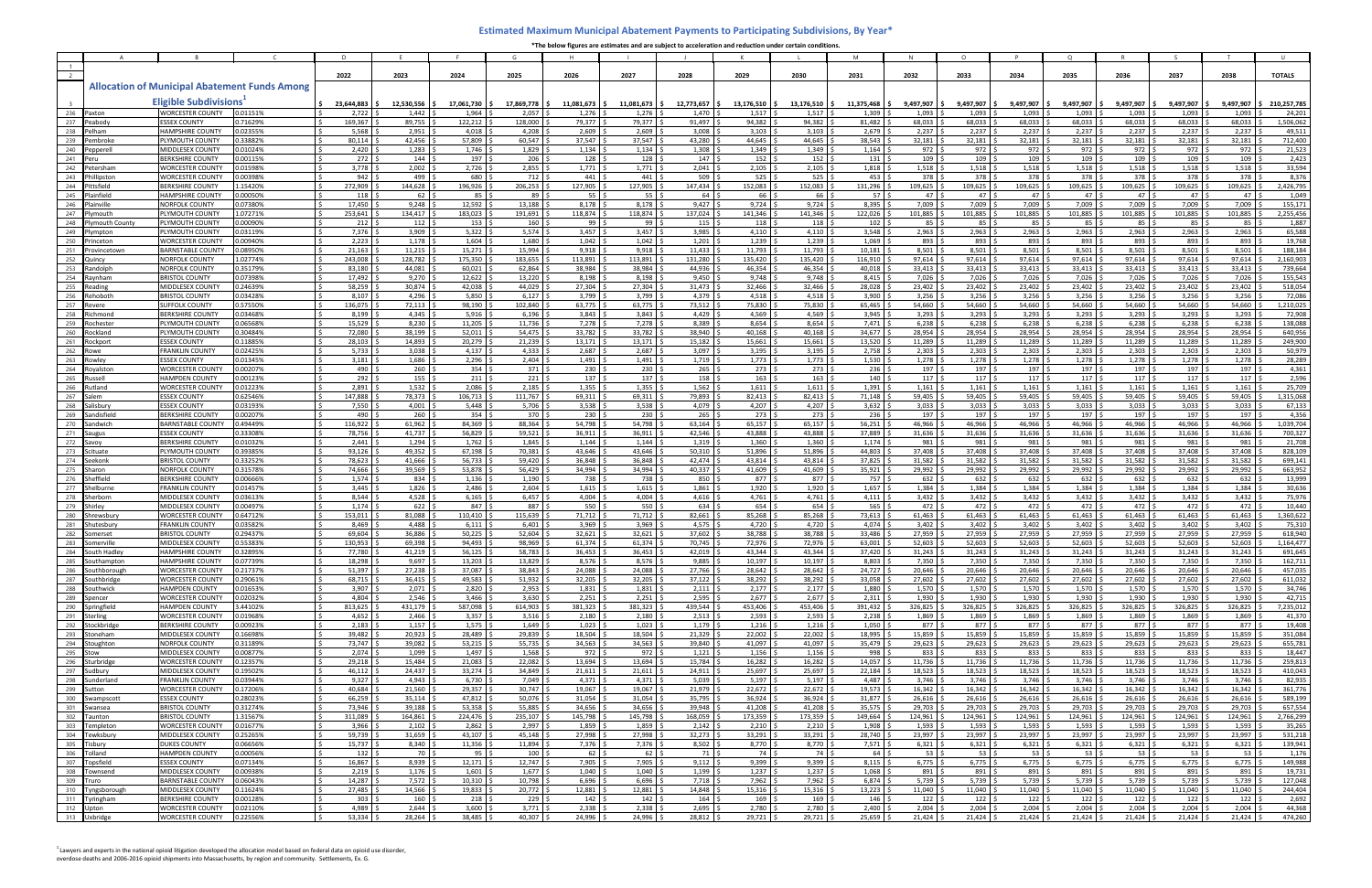|            |                                        |                                                      |                      |                                                           |                              |                              | G                        |                            |                                |                                | K.                      |                            | M                   |                                 | $\Omega$                    |                    | $\Omega$                      |                                  |                             |                    |                       |
|------------|----------------------------------------|------------------------------------------------------|----------------------|-----------------------------------------------------------|------------------------------|------------------------------|--------------------------|----------------------------|--------------------------------|--------------------------------|-------------------------|----------------------------|---------------------|---------------------------------|-----------------------------|--------------------|-------------------------------|----------------------------------|-----------------------------|--------------------|-----------------------|
|            |                                        |                                                      |                      |                                                           |                              |                              |                          |                            |                                |                                |                         |                            |                     |                                 |                             |                    |                               |                                  |                             |                    |                       |
|            |                                        |                                                      |                      | 2022                                                      | 2023                         | 2024                         | 2025                     | 2026                       | 2027                           | 2028                           | 2029                    | 2030                       | 2031                | 2032                            | 2033                        | 2034               | 2035                          | 2036                             | 2037                        | 2038               | <b>TOTALS</b>         |
|            |                                        | <b>Allocation of Municipal Abatement Funds Among</b> |                      |                                                           |                              |                              |                          |                            |                                |                                |                         |                            |                     |                                 |                             |                    |                               |                                  |                             |                    |                       |
|            |                                        | <b>Eligible Subdivisions</b>                         |                      |                                                           |                              |                              |                          |                            |                                |                                |                         |                            |                     |                                 |                             |                    |                               |                                  |                             |                    |                       |
| 236        | Paxton                                 | <b>WORCESTER COUNTY</b>                              | 0.01151%             | 23.644.883<br>2,722                                       | 12.530.556<br>1,442          | 17.061.730<br>1,964          | 17.869.778<br>2,057      | $11.081.673$ S<br>1,276    | $11.081.673$ S<br>1,276        | 12.773.657<br>1,470            | 13,176,510<br>1,517     | 13.176,510<br>1,517        | 11.375.468<br>1,309 | 9.497.907<br>1,093              | 9.497.907<br>1,093          | 9.497.907<br>1,093 | 9.497.907<br>1,093            | 9,497,907<br>1,093               | 9,497,907<br>1,093          | 9.497.907<br>1,093 | 210,257,785<br>24,201 |
| 237        | Peabody                                | <b>ESSEX COUNTY</b>                                  | 0.71629%             | 169,367                                                   | 89,755                       | 122,212                      | 128,000                  | 79,377                     | 79,377                         | 91,497                         | 94,382                  | 94,382                     | 81,482              | 68,033                          | 68,033                      | 68,033             | 68,033                        | 68,033                           | 68,033                      | 68,033             | 1,506,062             |
| 238        | Pelham                                 | <b>HAMPSHIRE COUNTY</b>                              | 0.02355%             | 5,568                                                     | 2,951                        | 4,018                        | 4,208                    | 2,609                      | 2,609                          | 3,008                          | 3,103                   | 3,103                      | 2,679               | 2,237                           | 2,237                       | 2,237              | 2,237                         | 2,237                            | 2,237                       | 2,237              | 49,511                |
| 239        | 'embrok                                | PLYMOUTH COUNTY                                      | 0.33882%             | 80,114                                                    | 42,456                       | 57.809                       | 60,547                   | 37.547                     | 37,547                         | 43,280                         | 44,645                  | 44,645                     | 38.543              | 32,181                          | 32,181                      | 32,181             | 32,181                        | 32,181                           | 32,181                      | 32.181             | 712,400               |
| 240        | epperell                               | <b>MIDDLESEX COUNTY</b><br><b>BERKSHIRE COUNTY</b>   | 0.01024%             | 2,420                                                     | 1,283                        | 1,746                        | 1,829                    | 1,134                      | 1,134                          | $1,308$ :                      | 1,349                   | 1,349                      | 1,164               | 972                             | 972                         | 972                | 972                           | 972 \$                           | 972                         | 972                | 21,523                |
| 241<br>242 | Peru<br>Petersham                      | WORCESTER COUNTY                                     | 0.00115%<br>0.01598% | 272<br>3,778                                              | 144<br>$2,002$ \$            | 197<br>2,726                 | 206<br>2,855             | 128<br>1,771               | 128<br>1,771                   | 147 <sup>5</sup><br>$2,041$ \$ | 152<br>2,105            | 152<br>2,105               | 131<br>1,818        | 109<br>1,518                    | 109<br>1,518                | 109<br>1,518       | 109<br>1,518                  | $109$ :<br>$1,518$ :             | 109<br>1,518                | 109<br>1.518       | 2,423<br>33,594       |
| 243        | hillinstor                             | <b>WORCESTER COUNTY</b>                              | 0.00398%             | 942                                                       | 499                          | 680                          | 712                      | 441                        | 441                            | 509 <sup>°</sup>               | 525                     | 525                        | 453                 | 378                             | 378                         | 378                | 378                           | 378                              | 378                         | 378                | 8,376                 |
| 244        | 'ittsfield                             | BERKSHIRE COUNTY                                     | 1.5420%              | 272,909                                                   | 144,628                      | 196,926                      | 206,253                  | 127,905                    | 127,905 \$                     | 147,434 \$                     | 152,083                 | 152,083                    | 131,296             | 109,625                         | 109,625                     | 109,625            | 109,625                       | 109,625                          | 109,625                     | 109,625            | 2,426,795             |
| 245        | Plainfield                             | <b>HAMPSHIRE COUNT</b>                               | 0.00050%             | 118                                                       | 62 <sup>°</sup>              | 85 I                         | 89                       | 55                         | 55                             | 64 <sup>5</sup>                | 66                      | 66                         | 57                  | 47                              | 47                          | 47                 | 47                            | 47 :                             | 47                          | 47                 | 1,049                 |
| 246        | Plainville                             | NORFOLK COUNTY                                       | 0.07380%             | 17,450                                                    | 9,248                        | 12,592                       | 13,188                   | 8,178                      | 8,178                          | 9,427                          | 9,724                   | 9,724                      | 8,395               | 7,009                           | 7,009                       | 7,009              | 7.009                         | 7,009                            | 7,009                       | 7.009              | 155,171               |
| 247<br>248 | lvmouth<br>Plymouth Count <sup>,</sup> | PLYMOUTH COUNTY<br>PLYMOUTH COUNTY                   | 1.07271%<br>0.00090% | 253,641<br>212                                            | 134,417 \$<br>$112 \quad$ \$ | 183,023<br>153               | 191,691<br>160           | 118,874<br>99              | 118,874<br>99 9                | 137,024<br>$115 \quad$ \$      | 141,346<br>118          | 141,346<br>118             | 122,026<br>102      | 101,885<br>85                   | 101,885<br>85               | 101,885<br>85      | 101,885<br>85                 | 101,885<br>85 S                  | 101,885<br>85 I             | 101,885<br>85      | 2,255,456<br>1,887    |
| 249        | Plymptor                               | <b>LYMOUTH COUNTY</b>                                | 0.03119%             | 7,376                                                     | 3,909 :                      | 5,322                        | 5,574                    | 3,457                      | 3,457                          | $3,985$ :                      | 4,110                   | 4,110                      | 3,548               | 2,963                           | 2,963                       | 2,963              | 2,963                         | 2,963                            | 2,963                       | 2,963              | 65,588                |
| 250        | 'rinceton                              | WORCESTER COUNTY                                     | 0.00940%             | 2,223                                                     | 1,178                        | 1,604                        | 1,680                    | 1,042                      | 1,042                          | $1,201$ $\leq$                 | 1,239                   | 1,239                      | 1,069               | 893                             | 893                         | 893                | 893                           | 893                              | 893                         | 893                | 19,768                |
| 251        | 'rovincetowr                           | BARNSTABLE COUNT                                     | 0.08950%             | 21,163                                                    | $11,215$ \$                  | 15,271                       | 15,994                   | 9,918                      | 9,918                          | $11,433$ \$                    | 11,793                  | 11,793                     | 10,181              | 8,501                           | 8,501                       | 8,501              | 8,501                         | $8,501$ \$                       | 8,501                       | 8,501              | 188,184               |
| 252        | luinc                                  | <b>NORFOLK COUNTY</b>                                | .02774%              | 243,008<br>83,180                                         | 128,782<br>44,081            | 175,350<br>60,021            | 183,655                  | 113,891<br>38,984          | 113,891<br>38.984              | 131,280 \$<br>44,936 !         | 135,420<br>46,354       | 135,420<br>46,354          | 116,910<br>40,018   | 97,614<br>33,413                | 97,614<br>33,413            | 97,614             | 97,614<br>33,413              | 97,614<br>33,413                 | 97,614<br>33,413            | 97,614<br>33,413   | 2,160,903<br>739,664  |
| 253<br>254 | andolph?<br>Raynham                    | NORFOLK COUNTY<br><b>BRISTOL COUNT</b>               | 0.35179%<br>0.07398% | 17,492                                                    | $9,270$ \$                   | 12,622                       | 62,864<br>13,220         | 8,198                      | 8,198                          | 9,450                          | 9,748                   | 9.748                      | 8,415               | 7,026                           | 7,026                       | 33,413<br>7,026    | 7,026                         | 7,026                            | 7,026                       | 7,026              | 155,543               |
| 255        | Reading                                | MIDDLESEX COUNTY                                     | 0.24639%             | 58,259                                                    | 30,874 \$                    | 42,038                       | 44,029                   | 27,304                     | $27,304$ \$                    | $31,473$ \$                    | 32,466                  | 32,466                     | 28,028              | 23,402                          | 23,402                      | 23,402             | 23,402                        | $23,402$ \$                      | 23,402                      | 23,402             | 518,054               |
| 256        | Rehoboth                               | <b>BRISTOL COUNT</b>                                 | 0.03428%             | 8,107                                                     | $4,296$ \$                   | 5,850                        | 6,127                    | 3,799                      | 3,799                          | 4,379                          | 4,518                   | 4,518                      | 3,900               | 3,256                           | 3,256                       | 3,256              | 3,256                         | 3,256                            | 3,256                       | 3,256              | 72,086                |
| 257        | रेevere                                | <b>JUFFOLK COUNTY</b>                                | 0.57550%             | 136,075                                                   | 72,113                       | 98,190                       | 102,840                  | 63,775                     | 63,775                         | 73,512                         | 75,830                  | 75,830                     | 65,465              | 54,660                          | 54,660                      | 54,660             | 54,660                        | 54,660                           | 54,660                      | 54,660             | 1,210,025             |
| 258        | रांchmond                              | <b>BERKSHIRE COUNTY</b>                              | 0.03468%             | 8,199                                                     | $4,345$ \$                   | 5,916                        | 6,196                    | 3,843                      | $3,843$ \$                     | $4,429$ \$                     | 4,569                   | 4,569                      | 3,945               | 3,293                           | $3,293$ :                   | 3,293              | 3,293                         | $3,293$ \$                       | 3,293                       | 3,293              | 72,908                |
| 259<br>260 | Rochester<br>२ockland                  | <b>LYMOUTH COUNT</b><br><b>LYMOUTH COUNT</b>         | 0.06568%<br>0.30484% | 15,529<br>72,080                                          | $8,230$ \$<br>38,199         | 11,205<br>52,011             | 11,736<br>54,475         | 7,278<br>33,782            | 7,278<br>33,782                | $8,389$ \$<br>38,940           | 8,654<br>40,168         | 8,654<br>40,168            | 7,471<br>34,677     | 6,238<br>28,954                 | 6,238<br>28,954             | 6,238<br>28,954    | 6,238<br>28,954               | 6,238<br>28,954                  | 6,238<br>28,954             | 6,238<br>28,954    | 138,088<br>640,956    |
| 261        | <b>Rockport</b>                        | <b>ESSEX COUNTY</b>                                  | 0.11885%             | 28,103                                                    | 14,893 \$                    | 20,279                       | 21,239                   | 13,171                     | 13,171                         | 15,182                         | 15,661                  | 15,661                     | 13,520              | 11,289                          | 11,289                      | 11,289             | 11,289                        | 11,289 :                         | 11,289                      | 11,289             | 249,900               |
| 262        | Rowe                                   | FRANKLIN COUNT                                       | 0.02425%             | 5,733                                                     | $3,038$ \$                   | 4,137                        | 4,333                    | 2,687                      | 2,687                          | $3,097$ \$                     | 3,195                   | 3,195                      | 2,758               | 2,303                           | 2,303                       | 2,303              | 2,303                         | 2,303                            | 2,303                       | 2,303              | 50,979                |
| 263        | owle:                                  | <b>ESSEX COUNT</b>                                   | 0.01345%             | 3,181                                                     | $1,686$ \$                   | $2,296$ \$                   | 2,404                    | 1,491                      | $1,491$ \$                     | $1,719$ \$                     | $1,773$ \$              | $1,773$ :                  | 1,530               | 1,278                           | 1,278                       | 1,278              | 1,278                         | 1,278                            | 1,278                       | 1,278              | 28,289                |
| 264        | ovalsto                                | WORCESTER COUNT                                      | 0.00207%             | 490                                                       | $260 \, \text{S}$            | 354                          | 371                      | 230                        | $230 \quad$ \$                 | $265 - 5$                      | 273                     | 273                        | 236                 | 197                             | 197 <sup>°</sup>            | 197                | 197                           | 197 <sup>5</sup>                 | 197                         | 197                | 4,361                 |
| 265<br>266 | <b>Russell</b><br>Rutland              | <b>HAMPDEN COUNTY</b><br><b>WORCESTER COUNTY</b>     | 0.00123%<br>0.01223% | 292<br>2,891                                              | $155$ \$<br>$1,532$ \$       | 211<br>2,086                 | 221<br>2,185             | 137<br>1,355               | 137 <sup>°</sup><br>$1,355$ \$ | 158 <sup>5</sup><br>$1,562$ \$ | $163 \,$ \$<br>1,611    | 163<br>$1,611$ :           | 140<br>1,391        | 117<br>1,161                    | 117<br>$1,161$   \$         | 117<br>1,161       | 117<br>1,161                  | 117S<br>$1,161$ \$               | 117<br>1,161                | 117<br>1,161       | 2,596<br>25,709       |
| 267        | ialem                                  | <b>SSEX COUNTY</b>                                   | 0.62546%             | 147,888                                                   | 78,373 \$                    | 106,713                      | 111,767                  | 69,311                     | 69,311 \$                      | 79,893 \$                      | 82,413                  | 82,413                     | 71,148              | 59,405                          | 59,405                      | 59,405             | 59,405                        | 59,405                           | 59,405                      | 59,405             | 1,315,068             |
| 268        | salisbur                               | <b>ESSEX COUNTY</b>                                  | 0.03193%             | 7,550                                                     | $4,001$ ;                    | 5,448                        | 5,706                    | 3,538                      | 3,538                          | 4,079                          | 4,207                   | 4,207                      | 3,632               | 3,033                           | 3,033                       | 3,033              | 3,033                         | 3,033                            | 3,033                       | 3,033              | 67,133                |
| 269        | Sandisfield                            | BERKSHIRE COUNT                                      | 0.00207%             | 490                                                       | 260 <sup>°</sup>             | 354                          | 370                      | 230                        | 230                            | 265                            | 273                     | 273                        | 236                 | 197                             | 197                         | 197                | 197                           | 197 :                            | 197                         | 197                | 4,356                 |
| 270        | Sandwich                               | <b>BARNSTABLE COUNTY</b>                             | 0.49449%             | 116,922                                                   | $61,962$ \$                  | 84,369                       | 88,364                   | 54,798                     | 54,798                         | 63,164                         | 65,157                  | 65,157                     | 56,251              | 46,966                          | 46,966                      | 46,966             | 46,966                        | 46,966                           | 46,966                      | 46,966             | 1,039,704             |
| 271<br>272 | saugu<br>Savoy                         | <b>ESSEX COUNTY</b><br><b>BERKSHIRE COUNTY</b>       | 0.33308%<br>0.01032% | 78,756<br>2,441                                           | 41,737 \$<br>$1,294$ \$      | 56,829<br>1,762              | 59,521<br>1,845          | 36,911<br>1,144            | 36,911 \<br>1,144              | 42,546<br>1,319                | 43,888<br>1,360         | 43,888<br>1,360            | 37,889<br>1,174     | 31,636<br>981                   | 31,636<br>981               | 31,636<br>981      | 31,636<br>981                 | 31,636<br>981                    | 31,636<br>981               | 31,636<br>981      | 700,327<br>21,708     |
| 273        | Scituate                               | PLYMOUTH COUNTY                                      | 0.39385%             | 93,126                                                    | 49,352                       | 67,198                       | 70,381                   | 43,646                     | 43,646                         | 50,310                         | 51,896                  | 51,896                     | 44,803              | 37,408                          | 37,408                      | 37,408             | 37,408                        | 37,408                           | 37,408                      | 37,408             | 828,109               |
| 274        | seekon⊧                                | <b>BRISTOL COUNTY</b>                                | 0.33252%             | 78,623                                                    | 41,666 \$                    | 56,733                       | 59,420                   | 36,848                     | 36,848                         | 42,474                         | 43,814                  | 43,814                     | 37,825              | 31,582                          | 31,582                      | 31,582             | 31,582                        | 31,582                           | 31,582                      | 31,582             | 699,141               |
| 275        | Sharon                                 | <b>NORFOLK COUNTY</b>                                | 0.31578%             | 74,666                                                    | 39,569                       | 53,878                       | 56,429                   | 34,994                     | 34,994                         | 40,337                         | 41,609                  | 41,609                     | 35,921              | 29,992                          | 29,992                      | 29,992             | 29,992                        | 29,992                           | 29,992                      | 29,992             | 663,952               |
| 276        | Sheffield                              | BERKSHIRE COUNT                                      | 0.00666%             | 1,574                                                     | 834 :                        | 1,136                        | 1,190                    | 738                        | 738                            | 850 %<br>$1,861$ $\frac{1}{2}$ | 877                     | 877                        | 757                 | 632                             | 632                         | 632                | 632                           | 632                              | 632                         | 632<br>1,384       | 13,999                |
| 277<br>278 | Shelburne<br>Sherborn                  | <b>FRANKLIN COUNTY</b><br><b>MIDDLESEX COUNTY</b>    | 0.01457%<br>0.03613% | 3,445<br>8.544                                            | 1,826<br>4,528               | 2,486<br>6,165               | 2,604<br>6,457           | 1,615<br>4.004             | 1,615<br>4.004                 | 4,616                          | 1,920<br>4.761          | 1,920<br>4,761 9           | 1,657<br>4,111      | 1,384<br>3,432                  | 1,384<br>3,432              | 1,384<br>3.432     | 1,384<br>3.432                | 1,384 :<br>$3,432$ :             | 1,384<br>3,432              | 3.432              | 30,636<br>75,976      |
| 279        | hirlev                                 | MIDDLESEX COUNTY                                     | 0.00497%             | 1,174                                                     | 622                          | 847                          | 887                      | 550                        | 550                            | 634                            | 654                     | 654                        | 565                 | 472                             | 472                         | 472                | 472                           | 472 :                            | 472                         | 472                | 10,440                |
| 280        | Shrewsbury                             | WORCESTER COUNTY                                     | 0.64712%             | 153,011                                                   | 81,088                       | 110,410                      | 115,639                  | 71,712                     | 71,712                         | 82,661                         | 85,268                  | 85,268                     | 73,613              | 61,463                          | 61,463                      | 61,463             | 61,463                        | 61,463                           | 61,463                      | 61,463             | 1,360,622             |
| 281        | Shutesbury                             | FRANKLIN COUNT                                       | 0.03582%             | 8,469                                                     | 4,488                        | 6,111                        | 6,401                    | 3,969                      | 3,969                          | 4,575                          | 4,720                   | 4,720                      | 4,074               | 3,402                           | 3,402                       | 3,402              | 3,402                         | 3,402                            | 3,402                       | 3,402              | 75,310                |
| 282<br>283 | omerset<br>omerville                   | <b>BRISTOL COUNT</b><br>MIDDLESEX COUNTY             | 0.29437%<br>0.55383% | 69,604<br>130,953                                         | 36.886<br>69,398             | 50.225<br>94,493             | 52,604<br>98,969         | 32,621<br>61,374           | 32,621<br>61,374               | 37,602<br>70,745               | 38.788<br>72,976        | 38.788<br>72,976           | 33.486<br>63,001    | 27,959<br>52,603                | 27,959<br>52,603            | 27,959<br>52,603   | 27.959<br>52,603              | 27,959<br>52,603                 | 27,959<br>52,603            | 27.959<br>52,603   | 618,940<br>1,164,477  |
| 284        | South Hadley                           | IAMPSHIRE COUNTY                                     | 0.32895%             | 77,780                                                    | 41,219 \$                    | 56,125                       | 58,783                   | 36,453                     | 36,453   Ş                     | 42,019 \$                      | 43,344 \$               | 43,344 S                   | 37,420              | 31,243 \$                       | $31,243$ 5                  | 31,243             | 31,243 Ş                      | 31,243 \$                        | $31,243$ 5                  | 31,243             | 691,645               |
| 285        | Southampton                            | HAMPSHIRE COUNTY                                     | 0.07739%             | 18,298 \$                                                 | $9,697$ \$                   | $13,203$ \$                  | 13,829                   | 8,576                      | $8,576$ \$                     | $9,885$ \$                     | $10,197$ \$             | $10,197$ \$                | 8,803               | $7,350$ \$                      | $7,350$ \$                  | 7,350              | $7,350$ \$                    | $7,350$ \$                       | $7,350$ \$                  | 7,350              | 162,711               |
| 286        | Southborough                           | <b>WORCESTER COUNTY</b>                              | 0.21737%             | $51,397$ \$                                               | $27,238$ \$                  | 37,087 \$                    | 38,843                   | 24,088                     | 24,088 \$                      | 27,766 \$                      | 28,642                  | 28,642 \$                  | 24,727              | 20,646                          | 20,646                      | 20,646             | $20,646$ \$                   | $20,646$ \$                      | 20,646                      | 20,646             | 457,035               |
| 287        | Southbridge                            | WORCESTER COUNTY                                     | 0.29061%             | 68,715 \$<br>3,907                                        | $36,415$ \$<br>$2,071$ \$    | 49,583<br>$2,820$ \$         | 51,932<br>2,953          | 32,205                     | $32,205$ \$                    | $37,122$ \$<br>$2,111$ \$      | 38,292 \$<br>$2,177$ \$ | 38,292 \$<br>$2,177$ \$    | 33,058<br>1,880     | 27,602<br>1,570                 | 27,602 \$<br>1,570          | 27,602             | 27,602<br>1,570               | $27,602$ \$<br>$1,570$ \$        | 27,602<br>1,570             | 27,602<br>1,570    | 611,032<br>34,746     |
| 288<br>289 | Southwick<br>Spencer                   | HAMPDEN COUNTY<br><b>WORCESTER COUNTY</b>            | 0.01653%<br>0.02032% | 4,804                                                     | $2,546$ \$                   | 3,466                        | 3,630                    | 1,831<br>2,251             | $1,831$   \$<br>$2,251$ \$     | $2,595$ \$                     | 2,677                   | $2,677$ \$                 | 2,311               | 1,930                           | $1,930$ \$                  | 1,570<br>1,930     | 1,930                         | $1,930$ \$                       | 1,930                       | 1,930              | 42,715                |
| 290        | Springfield                            | <b>HAMPDEN COUNTY</b>                                | 3.44102%             | 813,625<br>$\vert$ \$                                     | $431,179$ \$                 | 587,098 \$                   | 614,903                  | 381,323                    | 381,323 \$                     | 439,544 \$                     | 453,406 \$              | 453,406 \$                 | 391,432             | 326,825 \$                      | 326,825 \$                  | 326,825            | 326,825 \$                    | 326,825 \$                       | $326,825$ \$                | 326,825            | 7,235,012             |
| 291        | Sterling                               | WORCESTER COUNTY                                     | 0.01968%             | 4,652                                                     | $2,466$ \$                   | $3,357$ \$                   | 3,516                    | 2,180                      | $2,180$ \$                     | $2,513$ \$                     | $2,593$ \$              | 2,593                      | 2,238               | 1,869                           | 1,869                       | 1,869              | 1,869                         | $1,869$ \$                       | 1,869                       | 1,869              | 41,370                |
| 292        | Stockbridge                            | BERKSHIRE COUNTY                                     | 0.00923%             | $2,183$ \$                                                | $1,157$ \$                   | $1,575$ \$                   | 1,649                    | 1,023                      | $1,023$ \$                     | $1,179$ \$                     | $1,216$ \$              | $1,216$ \$                 | 1,050               | 877   \$                        | 877   \$                    | 877                | 877 S                         | 877   \$                         | 877 \$                      | 877                | 19,408                |
| 293        | Stoneham<br>294 Stoughton              | MIDDLESEX COUNTY<br>NORFOLK COUNTY                   | 0.16698%<br>0.31189% | 39,482<br>73,747 \$<br>IS.                                | $20,923$ \$<br>39,082 \$     | 28,489<br>$53,215$ \$        | 29,839<br>55,735         | 18,504<br>34,563           | $18,504$ \$<br>$34,563$ \$     | $21,329$ \$<br>39,840 \$       | 22,002<br>41,097 \$     | $22,002$ \$<br>$41,097$ \$ | 18,995<br>35,479    | 15,859<br>29,623                | 15,859 :<br>$29,623$ \$     | 15,859<br>29,623   | 15,859<br>29,623              | 15,859 \$<br>$29,623$ \$         | 15,859<br>29,623            | 15,859<br>29,623   | 351,084<br>655,781    |
| 295        | Stow                                   | MIDDLESEX COUNTY                                     | 0.00877%             | $2,074$ \$                                                | $1,099$ \$                   | $1,497$ \$                   | 1,568                    | $972$ :                    | $972 \quad$ \$                 | $1,121$ \$                     | $1,156$ \$              | $1,156$ \$                 | 998                 | 833                             | $833 \quad 5$               | 833                | 833                           | $833$ \$                         | 833   9                     | 833                | 18,447                |
| 296        | Sturbridge                             | <b>WORCESTER COUNTY</b>                              | 0.12357%             | 29,218                                                    | $15,484$ \$                  | 21,083                       | 22,082                   | 13,694                     | 13,694 \$                      | 15,784 \$                      | 16,282                  | 16,282 \$                  | 14,057              | 11,736                          | 11,736 :                    | 11,736             | 11,736                        | 11,736                           | 11,736                      | 11,736             | 259,813               |
| 297        | Sudbury                                | MIDDLESEX COUNTY                                     | 0.19502%             | $46,112$ \$<br>$\overline{\phantom{a}}$                   | 24,437 \$                    | 33,274 \$                    | 34,849                   | 21,611                     | $21,611$ \$                    | $24,911$ \$                    | $25,697$ \$             | $25,697$ \$                | 22,184              | 18,523                          | $18,523$ \$                 | 18,523             | $18,523$ \$                   | $18,523$ \$                      | $18,523$ \$                 | 18,523             | 410,043               |
| 298        | Sunderland                             | <b>FRANKLIN COUNTY</b>                               | 0.03944%             | 9,327<br><b>IS</b>                                        | $4,943$ \$                   | $6,730$ \$                   | 7,049                    | 4,371                      | $4,371$ \$                     | $5,039$ \$                     | $5,197$ \$              | $5,197$ \$                 | 4,487               | 3,746                           | 3,746                       | 3,746              | $3,746$ \$                    | $3,746$ \$                       | $3,746$ \$                  | 3,746              | 82,935                |
| 299<br>300 | Sutton<br>Swampscott                   | WORCESTER COUNTY<br><b>ESSEX COUNTY</b>              | 0.17206%<br>0.28023% | 40,684 \$<br>66,259                                       | $21,560$ \$<br>$35,114$ \$   | $29,357$ \$<br>47,812        | 30,747<br>50,076         | 19,067<br>31,054           | 19,067 \$<br>$31,054$ \$       | $21,979$ \$<br>$35,795$ \$     | $22,672$ \$<br>36,924   | $22,672$ \$<br>36,924      | 19,573<br>31,877    | 16,342<br>26,616                | $16,342$ \$<br>26,616       | 16,342<br>26,616   | $16,342$ \$<br>26,616         | $16,342 \quad$ \$<br>$26,616$ \$ | $16,342$ \$<br>26,616       | 16,342<br>26,616   | 361,776<br>589,199    |
| 301        | Swansea                                | <b>BRISTOL COUNTY</b>                                | 0.31274%             | 73,946 \$<br><b>IS</b>                                    | $39,188$ \$                  | 53,358 \$                    | 55,885                   | 34.656 \$                  | 34,656 \$                      | $39,948$ \$                    | $41,208$ \$             | $41,208$ \$                | 35,575              | 29,703                          | 29,703 \$                   | 29,703             | 29,703                        | $29,703$ \$                      | 29,703 \$                   | 29,703             | 657,554               |
| 302        | Taunton                                | <b>BRISTOL COUNTY</b>                                | 1.31567%             | 311,089 \$                                                | 164,861 \$                   | 224,476 \$                   | 235,107                  | 145,798                    | 145,798 \$                     | 168,059 \$                     | 173,359 \$              | 173,359 \$                 | 149,664             | 124,961                         | 124,961 \$                  | 124,961            | 124,961                       | 124,961 \$                       | 124,961 \$                  | 124,961            | 2,766,299             |
| 303        | Templeton                              | WORCESTER COUNTY                                     | 0.01677%             | 3,966                                                     | $2,102$ \$                   | 2,862                        | 2,997                    | 1,859                      | $1,859$ \$                     | $2,142$ \$                     | $2,210$ \$              | $2,210$ \$                 | 1,908               | 1,593                           | $1,593$ \$                  | 1,593              | 1,593                         | $1,593$ \$                       | 1,593                       | 1,593              | 35,265                |
| 304        | Tewksbury                              | MIDDLESEX COUNTY                                     | 0.25265%             | 59,739<br>$\sim$                                          | $31,659$ \$                  | $43,107$ \$                  | 45,148                   | 27,998                     | 27,998 \$                      | $32,273$ \$                    | $33,291$ \$             | $33,291$ \$                | 28,740              | 23,997                          | $23,997$ \$                 | 23,997             | 23,997                        | $23,997$ \$                      | 23,997                      | 23,997             | 531,218               |
| 305<br>306 | Tisburv<br>Tolland                     | <b>DUKES COUNTY</b><br><b>HAMPDEN COUNTY</b>         | 0.06656%<br>0.00056% | $15,737$ \$<br>$\sqrt{5}$<br>$\vert$ \$<br>$132 \quad$ \$ | $8,340$ \$<br>70 \$          | $11,356$ \$<br>$95 \quad$ \$ | 11,894 \$<br>$100 \,$ \$ | 7,376<br>$62 \quad$        | $7,376$ \$<br>$62 \quad$ \$    | $8,502$ \$<br>71 \$            | 8,770 \$<br>74 \$       | 8,770 \$<br>74 \$          | 7,571<br>64 I       | $6,321$   \$<br>53 <sup>5</sup> | $6,321$ \$<br>$53 \quad$ \$ | 6,321<br>$53^{6}$  | $6,321$   \$<br>$53 \quad$ \$ | $6,321$ \$<br>$53 \quad$ \$      | $6,321$ \$<br>$53 \quad$ \$ | 6,321<br>53        | 139,941<br>1,176      |
| 307        | Topsfield                              | <b>ESSEX COUNTY</b>                                  | 0.07134%             | Is<br>16,867 \$                                           | $8,939$ \$                   | $12,171$ \$                  | $12,747$ \$              | $7,905$ 5                  | $7,905$ \$                     | $9,112$ \$                     | 9,399                   | $9,399$ \$                 | 8,115               | $6,775$ \$                      | $6,775$ \$                  | 6,775              | $6,775$ \$                    | $6,775$ \$                       | $6,775$ \$                  | 6,775              | 149,988               |
| 308        | Townsend                               | MIDDLESEX COUNTY                                     | 0.00938%             | $2,219$ :<br>$\overline{\phantom{a}}$                     | $1,176$ \$                   | 1,601                        | $1,677$ :                | 1,040                      | $1,040$ \$                     | $1,199$ \$                     | $1,237$ \$              | $1,237$ \$                 | 1,068               | 891                             | $891 \frac{5}{7}$           | 891                | $891 \quad $$                 | $891 \frac{1}{2}$                | $891 \frac{6}{7}$           | 891                | 19,731                |
| 309        | Truro                                  | <b>BARNSTABLE COUNTY</b>                             | 0.06043%             | 14,287                                                    | $7,572$ \$                   | 10,310                       | 10,798                   | 6.696                      | 6,696                          | $7,718$ \$                     | 7,962                   | 7,962                      | 6,874               | 5,739                           | 5,739                       | 5,739              | 5,739                         | $5,739$ \$                       | 5,739                       | 5,739              | 127,048               |
|            | 310 Tyngsborough                       | MIDDLESEX COUNTY                                     | 0.11624%             | $27,485$ \$                                               | 14,566 \$                    | $19,833$ \$                  | $20,772$ \$              | 12,881                     | $12,881$ \$                    | 14,848 \$                      | $15,316$ \$             | $15,316$ \$                | 13,223              | $11,040$ \$                     | $11,040$ \$                 | 11,040             | $11,040$ \$                   | $11,040$ \$                      | $11,040$ \$                 | 11,040             | 244,404               |
| 312        | 311 Tyringham<br>Upton                 | <b>BERKSHIRE COUNTY</b><br>WORCESTER COUNTY          | 0.00128%<br>0.02110% | 303 \$<br>4,989                                           | $160 \div$<br>$2,644$ \$     | $218 \quad$ \$<br>3,600      | 229<br>3,771             | $142 \frac{3}{2}$<br>2,338 | $142 \quad$ \$<br>2,338        | $164 \quad$ \$<br>$2,695$ \$   | $169 \quad$ \$<br>2,780 | 169<br>2,780               | 146<br>2,400        | $122 \frac{6}{7}$<br>2,004      | $122 \quad$ \$<br>2,004     | 122<br>2,004       | $122 \quad$ \$<br>2,004       | $122 \quad$ \$<br>$2,004$ \$     | $122 \frac{1}{2}$<br>2,004  | 122<br>2,004       | 2,692<br>44,368       |
|            | 313 Uxbridge                           | <b>WORCESTER COUNTY</b>                              | 0.22556%             | $\overline{\phantom{a}}$<br>$53,334$ \$                   | $28,264$ \$                  | 38,485 \$                    | $40.307$ \$              | $24,996$ \$                | 24,996 \$                      | 28,812 \$                      | $29,721$ \$             | $29,721$ \$                | 25,659              | $21,424$ \$                     | $21,424$ \$                 | 21,424 \$          | $21,424$ \$                   | $21,424$ \$                      | $21,424$ \$                 | $21,424$ \$        | 474,260               |
|            |                                        |                                                      |                      |                                                           |                              |                              |                          |                            |                                |                                |                         |                            |                     |                                 |                             |                    |                               |                                  |                             |                    |                       |